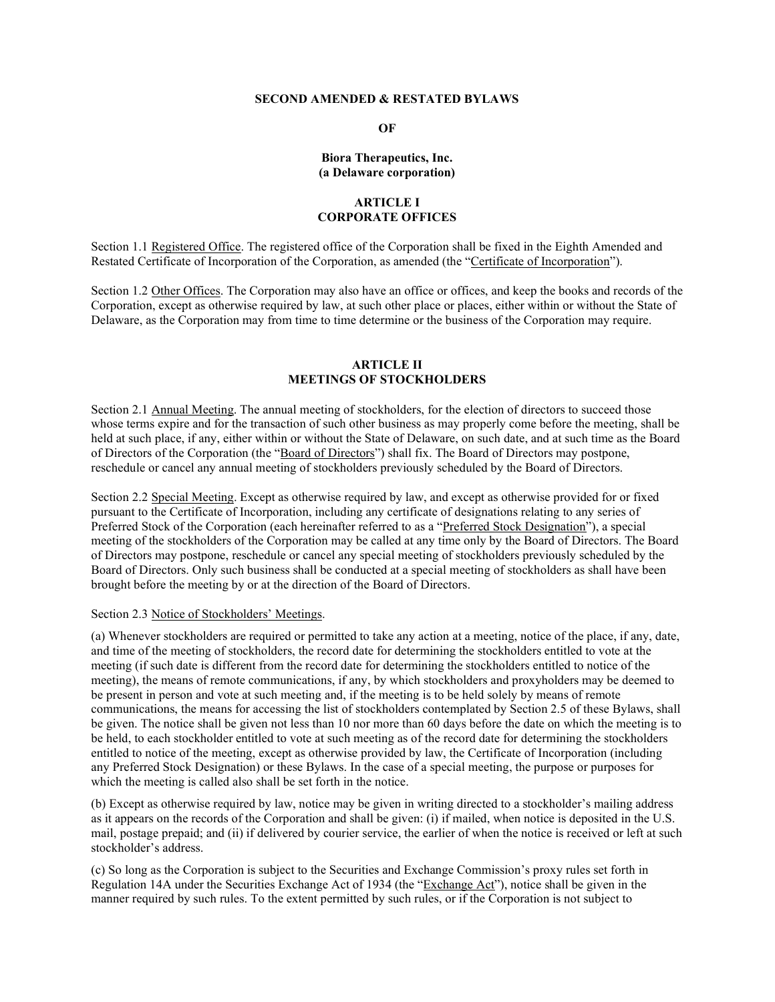### SECOND AMENDED & RESTATED BYLAWS

### OF

### Biora Therapeutics, Inc. (a Delaware corporation)

#### ARTICLE I CORPORATE OFFICES

Section 1.1 Registered Office. The registered office of the Corporation shall be fixed in the Eighth Amended and Restated Certificate of Incorporation of the Corporation, as amended (the "Certificate of Incorporation").

Section 1.2 Other Offices. The Corporation may also have an office or offices, and keep the books and records of the Corporation, except as otherwise required by law, at such other place or places, either within or without the State of Delaware, as the Corporation may from time to time determine or the business of the Corporation may require.

### ARTICLE II MEETINGS OF STOCKHOLDERS

Section 2.1 Annual Meeting. The annual meeting of stockholders, for the election of directors to succeed those whose terms expire and for the transaction of such other business as may properly come before the meeting, shall be held at such place, if any, either within or without the State of Delaware, on such date, and at such time as the Board of Directors of the Corporation (the "Board of Directors") shall fix. The Board of Directors may postpone, reschedule or cancel any annual meeting of stockholders previously scheduled by the Board of Directors.

Section 2.2 Special Meeting. Except as otherwise required by law, and except as otherwise provided for or fixed pursuant to the Certificate of Incorporation, including any certificate of designations relating to any series of Preferred Stock of the Corporation (each hereinafter referred to as a "Preferred Stock Designation"), a special meeting of the stockholders of the Corporation may be called at any time only by the Board of Directors. The Board of Directors may postpone, reschedule or cancel any special meeting of stockholders previously scheduled by the Board of Directors. Only such business shall be conducted at a special meeting of stockholders as shall have been brought before the meeting by or at the direction of the Board of Directors.

#### Section 2.3 Notice of Stockholders' Meetings.

(a) Whenever stockholders are required or permitted to take any action at a meeting, notice of the place, if any, date, and time of the meeting of stockholders, the record date for determining the stockholders entitled to vote at the meeting (if such date is different from the record date for determining the stockholders entitled to notice of the meeting), the means of remote communications, if any, by which stockholders and proxyholders may be deemed to be present in person and vote at such meeting and, if the meeting is to be held solely by means of remote communications, the means for accessing the list of stockholders contemplated by Section 2.5 of these Bylaws, shall be given. The notice shall be given not less than 10 nor more than 60 days before the date on which the meeting is to be held, to each stockholder entitled to vote at such meeting as of the record date for determining the stockholders entitled to notice of the meeting, except as otherwise provided by law, the Certificate of Incorporation (including any Preferred Stock Designation) or these Bylaws. In the case of a special meeting, the purpose or purposes for which the meeting is called also shall be set forth in the notice.

(b) Except as otherwise required by law, notice may be given in writing directed to a stockholder's mailing address as it appears on the records of the Corporation and shall be given: (i) if mailed, when notice is deposited in the U.S. mail, postage prepaid; and (ii) if delivered by courier service, the earlier of when the notice is received or left at such stockholder's address.

(c) So long as the Corporation is subject to the Securities and Exchange Commission's proxy rules set forth in Regulation 14A under the Securities Exchange Act of 1934 (the "Exchange Act"), notice shall be given in the manner required by such rules. To the extent permitted by such rules, or if the Corporation is not subject to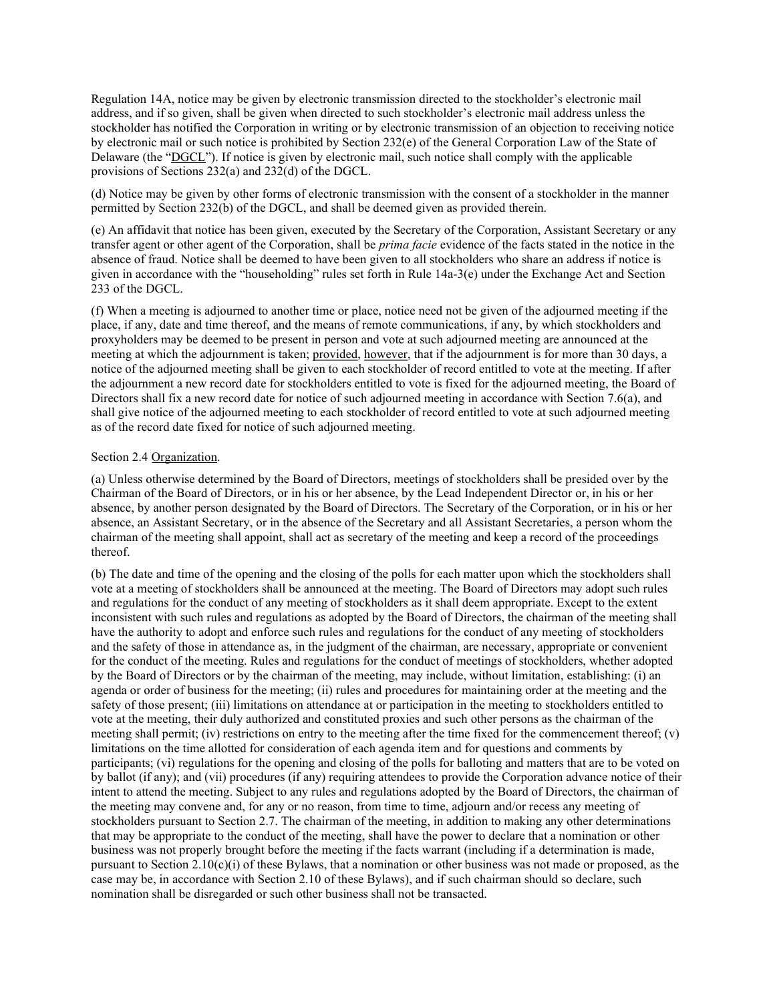Regulation 14A, notice may be given by electronic transmission directed to the stockholder's electronic mail address, and if so given, shall be given when directed to such stockholder's electronic mail address unless the stockholder has notified the Corporation in writing or by electronic transmission of an objection to receiving notice by electronic mail or such notice is prohibited by Section 232(e) of the General Corporation Law of the State of Delaware (the "DGCL"). If notice is given by electronic mail, such notice shall comply with the applicable provisions of Sections 232(a) and 232(d) of the DGCL.

(d) Notice may be given by other forms of electronic transmission with the consent of a stockholder in the manner permitted by Section 232(b) of the DGCL, and shall be deemed given as provided therein.

(e) An affidavit that notice has been given, executed by the Secretary of the Corporation, Assistant Secretary or any transfer agent or other agent of the Corporation, shall be prima facie evidence of the facts stated in the notice in the absence of fraud. Notice shall be deemed to have been given to all stockholders who share an address if notice is given in accordance with the "householding" rules set forth in Rule 14a-3(e) under the Exchange Act and Section 233 of the DGCL.

(f) When a meeting is adjourned to another time or place, notice need not be given of the adjourned meeting if the place, if any, date and time thereof, and the means of remote communications, if any, by which stockholders and proxyholders may be deemed to be present in person and vote at such adjourned meeting are announced at the meeting at which the adjournment is taken; provided, however, that if the adjournment is for more than 30 days, a notice of the adjourned meeting shall be given to each stockholder of record entitled to vote at the meeting. If after the adjournment a new record date for stockholders entitled to vote is fixed for the adjourned meeting, the Board of Directors shall fix a new record date for notice of such adjourned meeting in accordance with Section 7.6(a), and shall give notice of the adjourned meeting to each stockholder of record entitled to vote at such adjourned meeting as of the record date fixed for notice of such adjourned meeting.

### Section 2.4 Organization.

(a) Unless otherwise determined by the Board of Directors, meetings of stockholders shall be presided over by the Chairman of the Board of Directors, or in his or her absence, by the Lead Independent Director or, in his or her absence, by another person designated by the Board of Directors. The Secretary of the Corporation, or in his or her absence, an Assistant Secretary, or in the absence of the Secretary and all Assistant Secretaries, a person whom the chairman of the meeting shall appoint, shall act as secretary of the meeting and keep a record of the proceedings thereof.

(b) The date and time of the opening and the closing of the polls for each matter upon which the stockholders shall vote at a meeting of stockholders shall be announced at the meeting. The Board of Directors may adopt such rules and regulations for the conduct of any meeting of stockholders as it shall deem appropriate. Except to the extent inconsistent with such rules and regulations as adopted by the Board of Directors, the chairman of the meeting shall have the authority to adopt and enforce such rules and regulations for the conduct of any meeting of stockholders and the safety of those in attendance as, in the judgment of the chairman, are necessary, appropriate or convenient for the conduct of the meeting. Rules and regulations for the conduct of meetings of stockholders, whether adopted by the Board of Directors or by the chairman of the meeting, may include, without limitation, establishing: (i) an agenda or order of business for the meeting; (ii) rules and procedures for maintaining order at the meeting and the safety of those present; (iii) limitations on attendance at or participation in the meeting to stockholders entitled to vote at the meeting, their duly authorized and constituted proxies and such other persons as the chairman of the meeting shall permit; (iv) restrictions on entry to the meeting after the time fixed for the commencement thereof;  $(v)$ limitations on the time allotted for consideration of each agenda item and for questions and comments by participants; (vi) regulations for the opening and closing of the polls for balloting and matters that are to be voted on by ballot (if any); and (vii) procedures (if any) requiring attendees to provide the Corporation advance notice of their intent to attend the meeting. Subject to any rules and regulations adopted by the Board of Directors, the chairman of the meeting may convene and, for any or no reason, from time to time, adjourn and/or recess any meeting of stockholders pursuant to Section 2.7. The chairman of the meeting, in addition to making any other determinations that may be appropriate to the conduct of the meeting, shall have the power to declare that a nomination or other business was not properly brought before the meeting if the facts warrant (including if a determination is made, pursuant to Section 2.10(c)(i) of these Bylaws, that a nomination or other business was not made or proposed, as the case may be, in accordance with Section 2.10 of these Bylaws), and if such chairman should so declare, such nomination shall be disregarded or such other business shall not be transacted.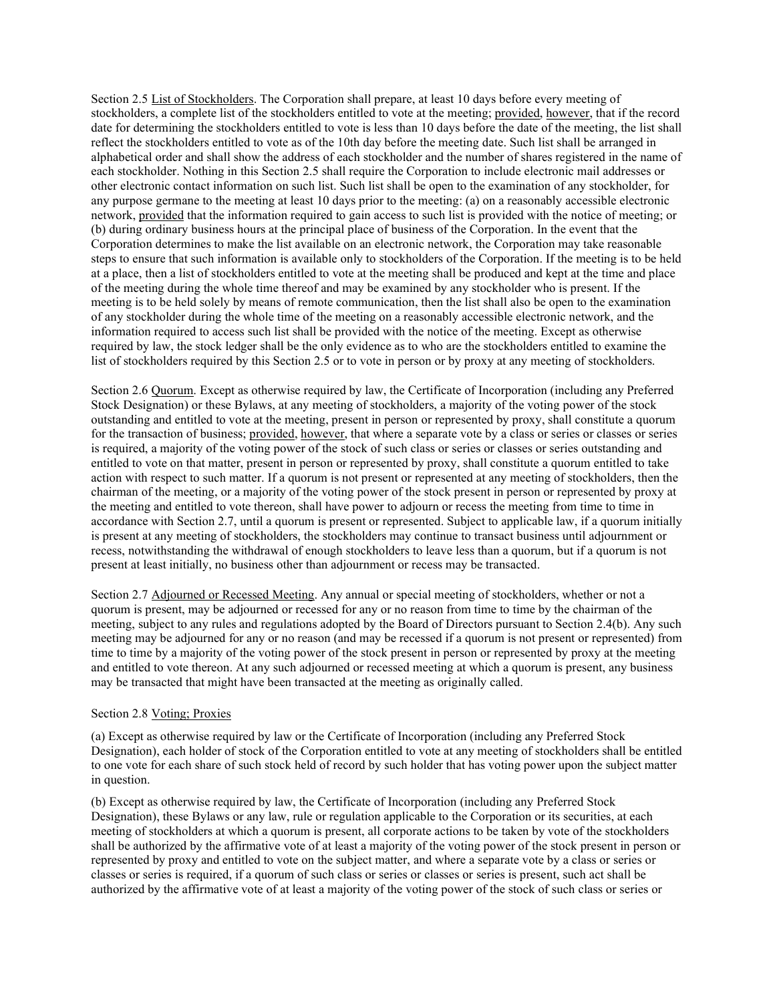Section 2.5 List of Stockholders. The Corporation shall prepare, at least 10 days before every meeting of stockholders, a complete list of the stockholders entitled to vote at the meeting; provided, however, that if the record date for determining the stockholders entitled to vote is less than 10 days before the date of the meeting, the list shall reflect the stockholders entitled to vote as of the 10th day before the meeting date. Such list shall be arranged in alphabetical order and shall show the address of each stockholder and the number of shares registered in the name of each stockholder. Nothing in this Section 2.5 shall require the Corporation to include electronic mail addresses or other electronic contact information on such list. Such list shall be open to the examination of any stockholder, for any purpose germane to the meeting at least 10 days prior to the meeting: (a) on a reasonably accessible electronic network, provided that the information required to gain access to such list is provided with the notice of meeting; or (b) during ordinary business hours at the principal place of business of the Corporation. In the event that the Corporation determines to make the list available on an electronic network, the Corporation may take reasonable steps to ensure that such information is available only to stockholders of the Corporation. If the meeting is to be held at a place, then a list of stockholders entitled to vote at the meeting shall be produced and kept at the time and place of the meeting during the whole time thereof and may be examined by any stockholder who is present. If the meeting is to be held solely by means of remote communication, then the list shall also be open to the examination of any stockholder during the whole time of the meeting on a reasonably accessible electronic network, and the information required to access such list shall be provided with the notice of the meeting. Except as otherwise required by law, the stock ledger shall be the only evidence as to who are the stockholders entitled to examine the list of stockholders required by this Section 2.5 or to vote in person or by proxy at any meeting of stockholders.

Section 2.6 Quorum. Except as otherwise required by law, the Certificate of Incorporation (including any Preferred Stock Designation) or these Bylaws, at any meeting of stockholders, a majority of the voting power of the stock outstanding and entitled to vote at the meeting, present in person or represented by proxy, shall constitute a quorum for the transaction of business; provided, however, that where a separate vote by a class or series or classes or series is required, a majority of the voting power of the stock of such class or series or classes or series outstanding and entitled to vote on that matter, present in person or represented by proxy, shall constitute a quorum entitled to take action with respect to such matter. If a quorum is not present or represented at any meeting of stockholders, then the chairman of the meeting, or a majority of the voting power of the stock present in person or represented by proxy at the meeting and entitled to vote thereon, shall have power to adjourn or recess the meeting from time to time in accordance with Section 2.7, until a quorum is present or represented. Subject to applicable law, if a quorum initially is present at any meeting of stockholders, the stockholders may continue to transact business until adjournment or recess, notwithstanding the withdrawal of enough stockholders to leave less than a quorum, but if a quorum is not present at least initially, no business other than adjournment or recess may be transacted.

Section 2.7 Adjourned or Recessed Meeting. Any annual or special meeting of stockholders, whether or not a quorum is present, may be adjourned or recessed for any or no reason from time to time by the chairman of the meeting, subject to any rules and regulations adopted by the Board of Directors pursuant to Section 2.4(b). Any such meeting may be adjourned for any or no reason (and may be recessed if a quorum is not present or represented) from time to time by a majority of the voting power of the stock present in person or represented by proxy at the meeting and entitled to vote thereon. At any such adjourned or recessed meeting at which a quorum is present, any business may be transacted that might have been transacted at the meeting as originally called.

### Section 2.8 Voting; Proxies

(a) Except as otherwise required by law or the Certificate of Incorporation (including any Preferred Stock Designation), each holder of stock of the Corporation entitled to vote at any meeting of stockholders shall be entitled to one vote for each share of such stock held of record by such holder that has voting power upon the subject matter in question.

(b) Except as otherwise required by law, the Certificate of Incorporation (including any Preferred Stock Designation), these Bylaws or any law, rule or regulation applicable to the Corporation or its securities, at each meeting of stockholders at which a quorum is present, all corporate actions to be taken by vote of the stockholders shall be authorized by the affirmative vote of at least a majority of the voting power of the stock present in person or represented by proxy and entitled to vote on the subject matter, and where a separate vote by a class or series or classes or series is required, if a quorum of such class or series or classes or series is present, such act shall be authorized by the affirmative vote of at least a majority of the voting power of the stock of such class or series or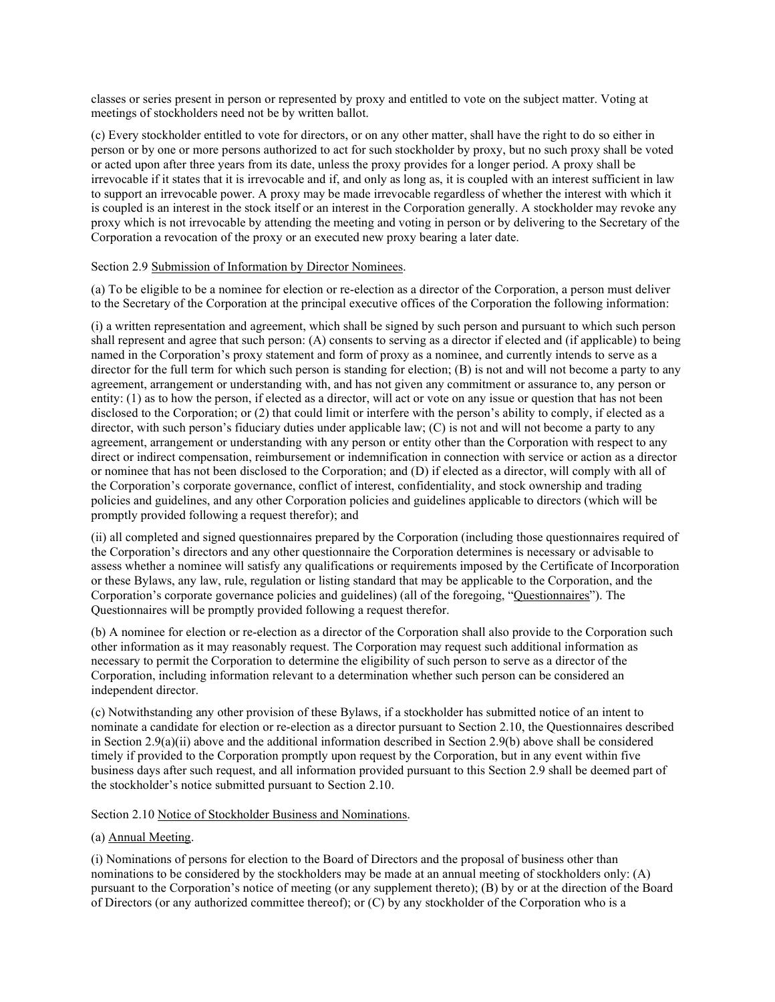classes or series present in person or represented by proxy and entitled to vote on the subject matter. Voting at meetings of stockholders need not be by written ballot.

(c) Every stockholder entitled to vote for directors, or on any other matter, shall have the right to do so either in person or by one or more persons authorized to act for such stockholder by proxy, but no such proxy shall be voted or acted upon after three years from its date, unless the proxy provides for a longer period. A proxy shall be irrevocable if it states that it is irrevocable and if, and only as long as, it is coupled with an interest sufficient in law to support an irrevocable power. A proxy may be made irrevocable regardless of whether the interest with which it is coupled is an interest in the stock itself or an interest in the Corporation generally. A stockholder may revoke any proxy which is not irrevocable by attending the meeting and voting in person or by delivering to the Secretary of the Corporation a revocation of the proxy or an executed new proxy bearing a later date.

### Section 2.9 Submission of Information by Director Nominees.

(a) To be eligible to be a nominee for election or re-election as a director of the Corporation, a person must deliver to the Secretary of the Corporation at the principal executive offices of the Corporation the following information:

(i) a written representation and agreement, which shall be signed by such person and pursuant to which such person shall represent and agree that such person: (A) consents to serving as a director if elected and (if applicable) to being named in the Corporation's proxy statement and form of proxy as a nominee, and currently intends to serve as a director for the full term for which such person is standing for election; (B) is not and will not become a party to any agreement, arrangement or understanding with, and has not given any commitment or assurance to, any person or entity: (1) as to how the person, if elected as a director, will act or vote on any issue or question that has not been disclosed to the Corporation; or (2) that could limit or interfere with the person's ability to comply, if elected as a director, with such person's fiduciary duties under applicable law; (C) is not and will not become a party to any agreement, arrangement or understanding with any person or entity other than the Corporation with respect to any direct or indirect compensation, reimbursement or indemnification in connection with service or action as a director or nominee that has not been disclosed to the Corporation; and (D) if elected as a director, will comply with all of the Corporation's corporate governance, conflict of interest, confidentiality, and stock ownership and trading policies and guidelines, and any other Corporation policies and guidelines applicable to directors (which will be promptly provided following a request therefor); and

(ii) all completed and signed questionnaires prepared by the Corporation (including those questionnaires required of the Corporation's directors and any other questionnaire the Corporation determines is necessary or advisable to assess whether a nominee will satisfy any qualifications or requirements imposed by the Certificate of Incorporation or these Bylaws, any law, rule, regulation or listing standard that may be applicable to the Corporation, and the Corporation's corporate governance policies and guidelines) (all of the foregoing, "Questionnaires"). The Questionnaires will be promptly provided following a request therefor.

(b) A nominee for election or re-election as a director of the Corporation shall also provide to the Corporation such other information as it may reasonably request. The Corporation may request such additional information as necessary to permit the Corporation to determine the eligibility of such person to serve as a director of the Corporation, including information relevant to a determination whether such person can be considered an independent director.

(c) Notwithstanding any other provision of these Bylaws, if a stockholder has submitted notice of an intent to nominate a candidate for election or re-election as a director pursuant to Section 2.10, the Questionnaires described in Section 2.9(a)(ii) above and the additional information described in Section 2.9(b) above shall be considered timely if provided to the Corporation promptly upon request by the Corporation, but in any event within five business days after such request, and all information provided pursuant to this Section 2.9 shall be deemed part of the stockholder's notice submitted pursuant to Section 2.10.

### Section 2.10 Notice of Stockholder Business and Nominations.

## (a) Annual Meeting.

(i) Nominations of persons for election to the Board of Directors and the proposal of business other than nominations to be considered by the stockholders may be made at an annual meeting of stockholders only: (A) pursuant to the Corporation's notice of meeting (or any supplement thereto); (B) by or at the direction of the Board of Directors (or any authorized committee thereof); or (C) by any stockholder of the Corporation who is a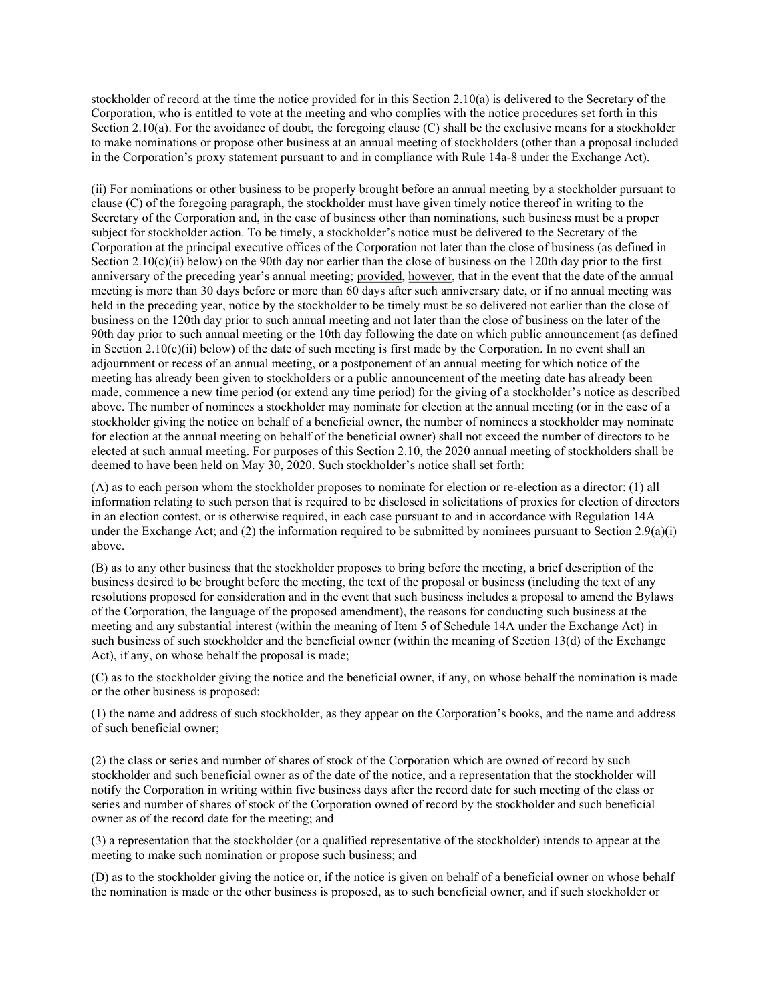stockholder of record at the time the notice provided for in this Section 2.10(a) is delivered to the Secretary of the Corporation, who is entitled to vote at the meeting and who complies with the notice procedures set forth in this Section 2.10(a). For the avoidance of doubt, the foregoing clause (C) shall be the exclusive means for a stockholder to make nominations or propose other business at an annual meeting of stockholders (other than a proposal included in the Corporation's proxy statement pursuant to and in compliance with Rule 14a-8 under the Exchange Act).

(ii) For nominations or other business to be properly brought before an annual meeting by a stockholder pursuant to clause (C) of the foregoing paragraph, the stockholder must have given timely notice thereof in writing to the Secretary of the Corporation and, in the case of business other than nominations, such business must be a proper subject for stockholder action. To be timely, a stockholder's notice must be delivered to the Secretary of the Corporation at the principal executive offices of the Corporation not later than the close of business (as defined in Section  $2.10(c)(ii)$  below) on the 90th day nor earlier than the close of business on the 120th day prior to the first anniversary of the preceding year's annual meeting; provided, however, that in the event that the date of the annual meeting is more than 30 days before or more than 60 days after such anniversary date, or if no annual meeting was held in the preceding year, notice by the stockholder to be timely must be so delivered not earlier than the close of business on the 120th day prior to such annual meeting and not later than the close of business on the later of the 90th day prior to such annual meeting or the 10th day following the date on which public announcement (as defined in Section 2.10(c)(ii) below) of the date of such meeting is first made by the Corporation. In no event shall an adjournment or recess of an annual meeting, or a postponement of an annual meeting for which notice of the meeting has already been given to stockholders or a public announcement of the meeting date has already been made, commence a new time period (or extend any time period) for the giving of a stockholder's notice as described above. The number of nominees a stockholder may nominate for election at the annual meeting (or in the case of a stockholder giving the notice on behalf of a beneficial owner, the number of nominees a stockholder may nominate for election at the annual meeting on behalf of the beneficial owner) shall not exceed the number of directors to be elected at such annual meeting. For purposes of this Section 2.10, the 2020 annual meeting of stockholders shall be deemed to have been held on May 30, 2020. Such stockholder's notice shall set forth:

(A) as to each person whom the stockholder proposes to nominate for election or re-election as a director: (1) all information relating to such person that is required to be disclosed in solicitations of proxies for election of directors in an election contest, or is otherwise required, in each case pursuant to and in accordance with Regulation 14A under the Exchange Act; and (2) the information required to be submitted by nominees pursuant to Section 2.9(a)(i) above.

(B) as to any other business that the stockholder proposes to bring before the meeting, a brief description of the business desired to be brought before the meeting, the text of the proposal or business (including the text of any resolutions proposed for consideration and in the event that such business includes a proposal to amend the Bylaws of the Corporation, the language of the proposed amendment), the reasons for conducting such business at the meeting and any substantial interest (within the meaning of Item 5 of Schedule 14A under the Exchange Act) in such business of such stockholder and the beneficial owner (within the meaning of Section 13(d) of the Exchange Act), if any, on whose behalf the proposal is made;

(C) as to the stockholder giving the notice and the beneficial owner, if any, on whose behalf the nomination is made or the other business is proposed:

(1) the name and address of such stockholder, as they appear on the Corporation's books, and the name and address of such beneficial owner;

(2) the class or series and number of shares of stock of the Corporation which are owned of record by such stockholder and such beneficial owner as of the date of the notice, and a representation that the stockholder will notify the Corporation in writing within five business days after the record date for such meeting of the class or series and number of shares of stock of the Corporation owned of record by the stockholder and such beneficial owner as of the record date for the meeting; and

(3) a representation that the stockholder (or a qualified representative of the stockholder) intends to appear at the meeting to make such nomination or propose such business; and

(D) as to the stockholder giving the notice or, if the notice is given on behalf of a beneficial owner on whose behalf the nomination is made or the other business is proposed, as to such beneficial owner, and if such stockholder or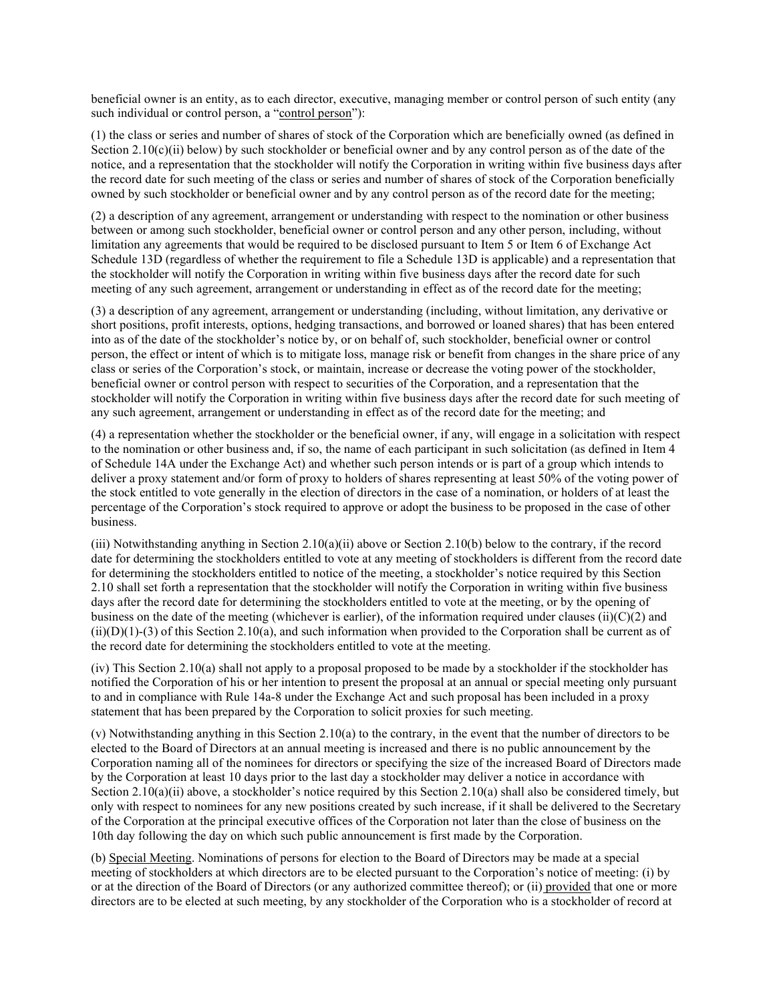beneficial owner is an entity, as to each director, executive, managing member or control person of such entity (any such individual or control person, a "control person"):

(1) the class or series and number of shares of stock of the Corporation which are beneficially owned (as defined in Section  $2.10(c)(ii)$  below) by such stockholder or beneficial owner and by any control person as of the date of the notice, and a representation that the stockholder will notify the Corporation in writing within five business days after the record date for such meeting of the class or series and number of shares of stock of the Corporation beneficially owned by such stockholder or beneficial owner and by any control person as of the record date for the meeting;

(2) a description of any agreement, arrangement or understanding with respect to the nomination or other business between or among such stockholder, beneficial owner or control person and any other person, including, without limitation any agreements that would be required to be disclosed pursuant to Item 5 or Item 6 of Exchange Act Schedule 13D (regardless of whether the requirement to file a Schedule 13D is applicable) and a representation that the stockholder will notify the Corporation in writing within five business days after the record date for such meeting of any such agreement, arrangement or understanding in effect as of the record date for the meeting;

(3) a description of any agreement, arrangement or understanding (including, without limitation, any derivative or short positions, profit interests, options, hedging transactions, and borrowed or loaned shares) that has been entered into as of the date of the stockholder's notice by, or on behalf of, such stockholder, beneficial owner or control person, the effect or intent of which is to mitigate loss, manage risk or benefit from changes in the share price of any class or series of the Corporation's stock, or maintain, increase or decrease the voting power of the stockholder, beneficial owner or control person with respect to securities of the Corporation, and a representation that the stockholder will notify the Corporation in writing within five business days after the record date for such meeting of any such agreement, arrangement or understanding in effect as of the record date for the meeting; and

(4) a representation whether the stockholder or the beneficial owner, if any, will engage in a solicitation with respect to the nomination or other business and, if so, the name of each participant in such solicitation (as defined in Item 4 of Schedule 14A under the Exchange Act) and whether such person intends or is part of a group which intends to deliver a proxy statement and/or form of proxy to holders of shares representing at least 50% of the voting power of the stock entitled to vote generally in the election of directors in the case of a nomination, or holders of at least the percentage of the Corporation's stock required to approve or adopt the business to be proposed in the case of other business.

(iii) Notwithstanding anything in Section 2.10(a)(ii) above or Section 2.10(b) below to the contrary, if the record date for determining the stockholders entitled to vote at any meeting of stockholders is different from the record date for determining the stockholders entitled to notice of the meeting, a stockholder's notice required by this Section 2.10 shall set forth a representation that the stockholder will notify the Corporation in writing within five business days after the record date for determining the stockholders entitled to vote at the meeting, or by the opening of business on the date of the meeting (whichever is earlier), of the information required under clauses (ii)(C)(2) and (ii)(D)(1)-(3) of this Section 2.10(a), and such information when provided to the Corporation shall be current as of the record date for determining the stockholders entitled to vote at the meeting.

(iv) This Section 2.10(a) shall not apply to a proposal proposed to be made by a stockholder if the stockholder has notified the Corporation of his or her intention to present the proposal at an annual or special meeting only pursuant to and in compliance with Rule 14a-8 under the Exchange Act and such proposal has been included in a proxy statement that has been prepared by the Corporation to solicit proxies for such meeting.

(v) Notwithstanding anything in this Section 2.10(a) to the contrary, in the event that the number of directors to be elected to the Board of Directors at an annual meeting is increased and there is no public announcement by the Corporation naming all of the nominees for directors or specifying the size of the increased Board of Directors made by the Corporation at least 10 days prior to the last day a stockholder may deliver a notice in accordance with Section 2.10(a)(ii) above, a stockholder's notice required by this Section 2.10(a) shall also be considered timely, but only with respect to nominees for any new positions created by such increase, if it shall be delivered to the Secretary of the Corporation at the principal executive offices of the Corporation not later than the close of business on the 10th day following the day on which such public announcement is first made by the Corporation.

(b) Special Meeting. Nominations of persons for election to the Board of Directors may be made at a special meeting of stockholders at which directors are to be elected pursuant to the Corporation's notice of meeting: (i) by or at the direction of the Board of Directors (or any authorized committee thereof); or (ii) provided that one or more directors are to be elected at such meeting, by any stockholder of the Corporation who is a stockholder of record at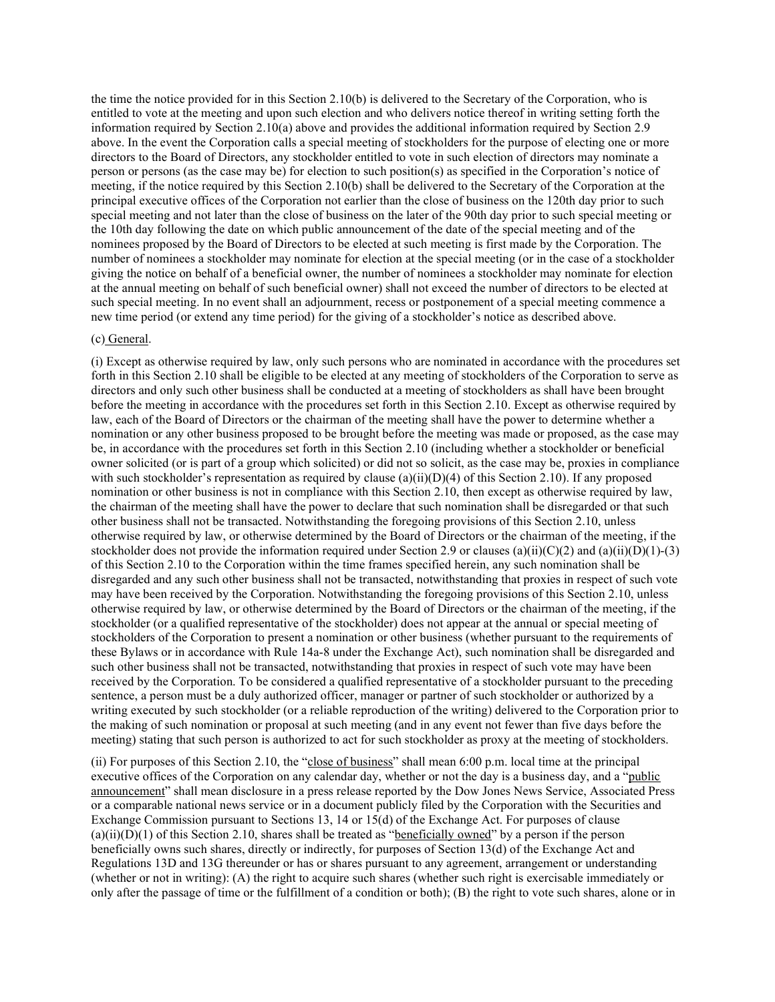the time the notice provided for in this Section 2.10(b) is delivered to the Secretary of the Corporation, who is entitled to vote at the meeting and upon such election and who delivers notice thereof in writing setting forth the information required by Section 2.10(a) above and provides the additional information required by Section 2.9 above. In the event the Corporation calls a special meeting of stockholders for the purpose of electing one or more directors to the Board of Directors, any stockholder entitled to vote in such election of directors may nominate a person or persons (as the case may be) for election to such position(s) as specified in the Corporation's notice of meeting, if the notice required by this Section 2.10(b) shall be delivered to the Secretary of the Corporation at the principal executive offices of the Corporation not earlier than the close of business on the 120th day prior to such special meeting and not later than the close of business on the later of the 90th day prior to such special meeting or the 10th day following the date on which public announcement of the date of the special meeting and of the nominees proposed by the Board of Directors to be elected at such meeting is first made by the Corporation. The number of nominees a stockholder may nominate for election at the special meeting (or in the case of a stockholder giving the notice on behalf of a beneficial owner, the number of nominees a stockholder may nominate for election at the annual meeting on behalf of such beneficial owner) shall not exceed the number of directors to be elected at such special meeting. In no event shall an adjournment, recess or postponement of a special meeting commence a new time period (or extend any time period) for the giving of a stockholder's notice as described above.

#### (c) General.

(i) Except as otherwise required by law, only such persons who are nominated in accordance with the procedures set forth in this Section 2.10 shall be eligible to be elected at any meeting of stockholders of the Corporation to serve as directors and only such other business shall be conducted at a meeting of stockholders as shall have been brought before the meeting in accordance with the procedures set forth in this Section 2.10. Except as otherwise required by law, each of the Board of Directors or the chairman of the meeting shall have the power to determine whether a nomination or any other business proposed to be brought before the meeting was made or proposed, as the case may be, in accordance with the procedures set forth in this Section 2.10 (including whether a stockholder or beneficial owner solicited (or is part of a group which solicited) or did not so solicit, as the case may be, proxies in compliance with such stockholder's representation as required by clause (a)(ii)(D)(4) of this Section 2.10). If any proposed nomination or other business is not in compliance with this Section 2.10, then except as otherwise required by law, the chairman of the meeting shall have the power to declare that such nomination shall be disregarded or that such other business shall not be transacted. Notwithstanding the foregoing provisions of this Section 2.10, unless otherwise required by law, or otherwise determined by the Board of Directors or the chairman of the meeting, if the stockholder does not provide the information required under Section 2.9 or clauses (a)(ii)(C)(2) and (a)(ii)(D)(1)-(3) of this Section 2.10 to the Corporation within the time frames specified herein, any such nomination shall be disregarded and any such other business shall not be transacted, notwithstanding that proxies in respect of such vote may have been received by the Corporation. Notwithstanding the foregoing provisions of this Section 2.10, unless otherwise required by law, or otherwise determined by the Board of Directors or the chairman of the meeting, if the stockholder (or a qualified representative of the stockholder) does not appear at the annual or special meeting of stockholders of the Corporation to present a nomination or other business (whether pursuant to the requirements of these Bylaws or in accordance with Rule 14a-8 under the Exchange Act), such nomination shall be disregarded and such other business shall not be transacted, notwithstanding that proxies in respect of such vote may have been received by the Corporation. To be considered a qualified representative of a stockholder pursuant to the preceding sentence, a person must be a duly authorized officer, manager or partner of such stockholder or authorized by a writing executed by such stockholder (or a reliable reproduction of the writing) delivered to the Corporation prior to the making of such nomination or proposal at such meeting (and in any event not fewer than five days before the meeting) stating that such person is authorized to act for such stockholder as proxy at the meeting of stockholders.

(ii) For purposes of this Section 2.10, the "close of business" shall mean 6:00 p.m. local time at the principal executive offices of the Corporation on any calendar day, whether or not the day is a business day, and a "public announcement" shall mean disclosure in a press release reported by the Dow Jones News Service, Associated Press or a comparable national news service or in a document publicly filed by the Corporation with the Securities and Exchange Commission pursuant to Sections 13, 14 or 15(d) of the Exchange Act. For purposes of clause  $(a)(ii)(D)(1)$  of this Section 2.10, shares shall be treated as "beneficially owned" by a person if the person beneficially owns such shares, directly or indirectly, for purposes of Section 13(d) of the Exchange Act and Regulations 13D and 13G thereunder or has or shares pursuant to any agreement, arrangement or understanding (whether or not in writing): (A) the right to acquire such shares (whether such right is exercisable immediately or only after the passage of time or the fulfillment of a condition or both); (B) the right to vote such shares, alone or in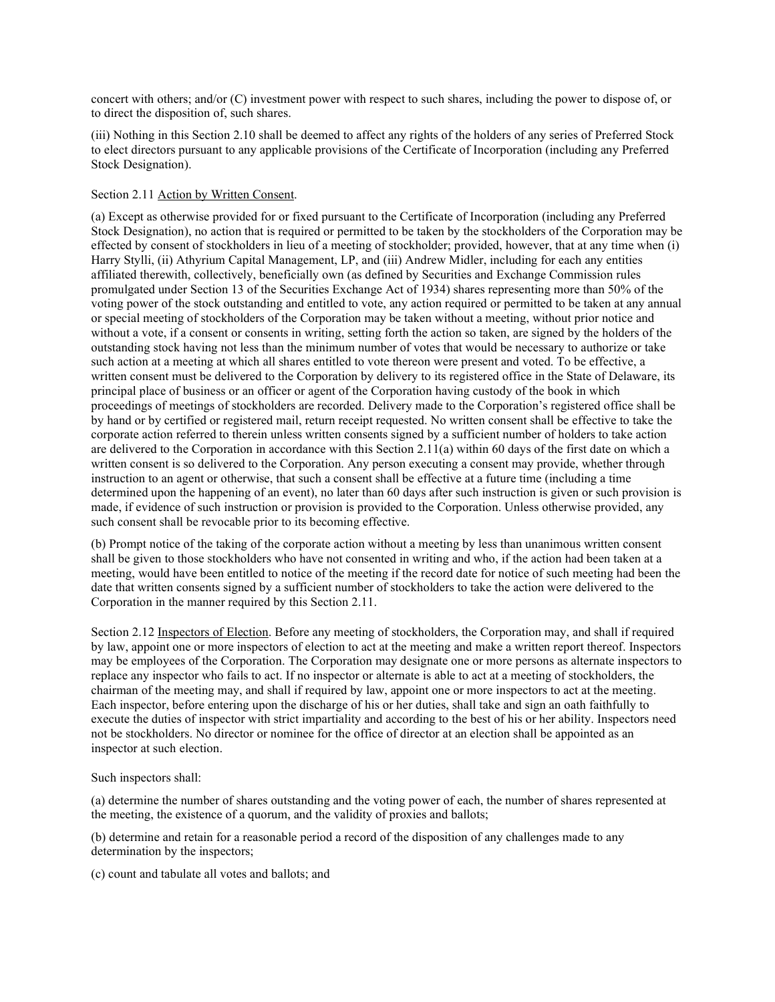concert with others; and/or (C) investment power with respect to such shares, including the power to dispose of, or to direct the disposition of, such shares.

(iii) Nothing in this Section 2.10 shall be deemed to affect any rights of the holders of any series of Preferred Stock to elect directors pursuant to any applicable provisions of the Certificate of Incorporation (including any Preferred Stock Designation).

### Section 2.11 Action by Written Consent.

(a) Except as otherwise provided for or fixed pursuant to the Certificate of Incorporation (including any Preferred Stock Designation), no action that is required or permitted to be taken by the stockholders of the Corporation may be effected by consent of stockholders in lieu of a meeting of stockholder; provided, however, that at any time when (i) Harry Stylli, (ii) Athyrium Capital Management, LP, and (iii) Andrew Midler, including for each any entities affiliated therewith, collectively, beneficially own (as defined by Securities and Exchange Commission rules promulgated under Section 13 of the Securities Exchange Act of 1934) shares representing more than 50% of the voting power of the stock outstanding and entitled to vote, any action required or permitted to be taken at any annual or special meeting of stockholders of the Corporation may be taken without a meeting, without prior notice and without a vote, if a consent or consents in writing, setting forth the action so taken, are signed by the holders of the outstanding stock having not less than the minimum number of votes that would be necessary to authorize or take such action at a meeting at which all shares entitled to vote thereon were present and voted. To be effective, a written consent must be delivered to the Corporation by delivery to its registered office in the State of Delaware, its principal place of business or an officer or agent of the Corporation having custody of the book in which proceedings of meetings of stockholders are recorded. Delivery made to the Corporation's registered office shall be by hand or by certified or registered mail, return receipt requested. No written consent shall be effective to take the corporate action referred to therein unless written consents signed by a sufficient number of holders to take action are delivered to the Corporation in accordance with this Section 2.11(a) within 60 days of the first date on which a written consent is so delivered to the Corporation. Any person executing a consent may provide, whether through instruction to an agent or otherwise, that such a consent shall be effective at a future time (including a time determined upon the happening of an event), no later than 60 days after such instruction is given or such provision is made, if evidence of such instruction or provision is provided to the Corporation. Unless otherwise provided, any such consent shall be revocable prior to its becoming effective.

(b) Prompt notice of the taking of the corporate action without a meeting by less than unanimous written consent shall be given to those stockholders who have not consented in writing and who, if the action had been taken at a meeting, would have been entitled to notice of the meeting if the record date for notice of such meeting had been the date that written consents signed by a sufficient number of stockholders to take the action were delivered to the Corporation in the manner required by this Section 2.11.

Section 2.12 Inspectors of Election. Before any meeting of stockholders, the Corporation may, and shall if required by law, appoint one or more inspectors of election to act at the meeting and make a written report thereof. Inspectors may be employees of the Corporation. The Corporation may designate one or more persons as alternate inspectors to replace any inspector who fails to act. If no inspector or alternate is able to act at a meeting of stockholders, the chairman of the meeting may, and shall if required by law, appoint one or more inspectors to act at the meeting. Each inspector, before entering upon the discharge of his or her duties, shall take and sign an oath faithfully to execute the duties of inspector with strict impartiality and according to the best of his or her ability. Inspectors need not be stockholders. No director or nominee for the office of director at an election shall be appointed as an inspector at such election.

Such inspectors shall:

(a) determine the number of shares outstanding and the voting power of each, the number of shares represented at the meeting, the existence of a quorum, and the validity of proxies and ballots;

(b) determine and retain for a reasonable period a record of the disposition of any challenges made to any determination by the inspectors;

(c) count and tabulate all votes and ballots; and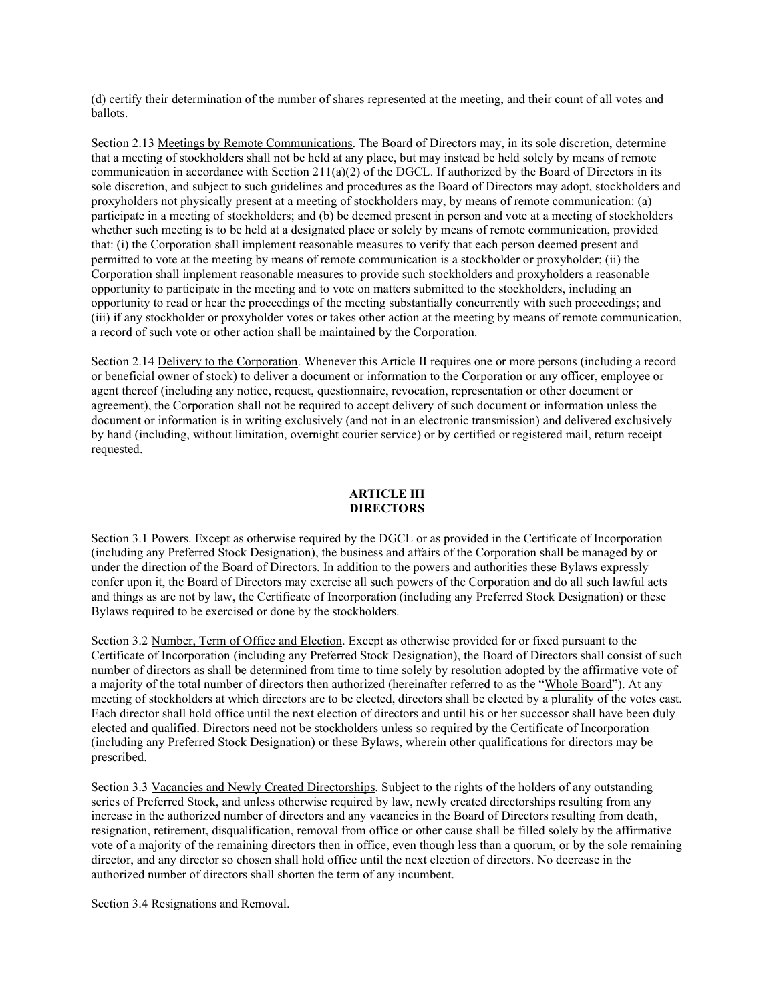(d) certify their determination of the number of shares represented at the meeting, and their count of all votes and ballots.

Section 2.13 Meetings by Remote Communications. The Board of Directors may, in its sole discretion, determine that a meeting of stockholders shall not be held at any place, but may instead be held solely by means of remote communication in accordance with Section 211(a)(2) of the DGCL. If authorized by the Board of Directors in its sole discretion, and subject to such guidelines and procedures as the Board of Directors may adopt, stockholders and proxyholders not physically present at a meeting of stockholders may, by means of remote communication: (a) participate in a meeting of stockholders; and (b) be deemed present in person and vote at a meeting of stockholders whether such meeting is to be held at a designated place or solely by means of remote communication, provided that: (i) the Corporation shall implement reasonable measures to verify that each person deemed present and permitted to vote at the meeting by means of remote communication is a stockholder or proxyholder; (ii) the Corporation shall implement reasonable measures to provide such stockholders and proxyholders a reasonable opportunity to participate in the meeting and to vote on matters submitted to the stockholders, including an opportunity to read or hear the proceedings of the meeting substantially concurrently with such proceedings; and (iii) if any stockholder or proxyholder votes or takes other action at the meeting by means of remote communication, a record of such vote or other action shall be maintained by the Corporation.

Section 2.14 Delivery to the Corporation. Whenever this Article II requires one or more persons (including a record or beneficial owner of stock) to deliver a document or information to the Corporation or any officer, employee or agent thereof (including any notice, request, questionnaire, revocation, representation or other document or agreement), the Corporation shall not be required to accept delivery of such document or information unless the document or information is in writing exclusively (and not in an electronic transmission) and delivered exclusively by hand (including, without limitation, overnight courier service) or by certified or registered mail, return receipt requested.

## ARTICLE III **DIRECTORS**

Section 3.1 Powers. Except as otherwise required by the DGCL or as provided in the Certificate of Incorporation (including any Preferred Stock Designation), the business and affairs of the Corporation shall be managed by or under the direction of the Board of Directors. In addition to the powers and authorities these Bylaws expressly confer upon it, the Board of Directors may exercise all such powers of the Corporation and do all such lawful acts and things as are not by law, the Certificate of Incorporation (including any Preferred Stock Designation) or these Bylaws required to be exercised or done by the stockholders.

Section 3.2 Number, Term of Office and Election. Except as otherwise provided for or fixed pursuant to the Certificate of Incorporation (including any Preferred Stock Designation), the Board of Directors shall consist of such number of directors as shall be determined from time to time solely by resolution adopted by the affirmative vote of a majority of the total number of directors then authorized (hereinafter referred to as the "Whole Board"). At any meeting of stockholders at which directors are to be elected, directors shall be elected by a plurality of the votes cast. Each director shall hold office until the next election of directors and until his or her successor shall have been duly elected and qualified. Directors need not be stockholders unless so required by the Certificate of Incorporation (including any Preferred Stock Designation) or these Bylaws, wherein other qualifications for directors may be prescribed.

Section 3.3 <u>Vacancies and Newly Created Directorships</u>. Subject to the rights of the holders of any outstanding series of Preferred Stock, and unless otherwise required by law, newly created directorships resulting from any increase in the authorized number of directors and any vacancies in the Board of Directors resulting from death, resignation, retirement, disqualification, removal from office or other cause shall be filled solely by the affirmative vote of a majority of the remaining directors then in office, even though less than a quorum, or by the sole remaining director, and any director so chosen shall hold office until the next election of directors. No decrease in the authorized number of directors shall shorten the term of any incumbent.

Section 3.4 Resignations and Removal.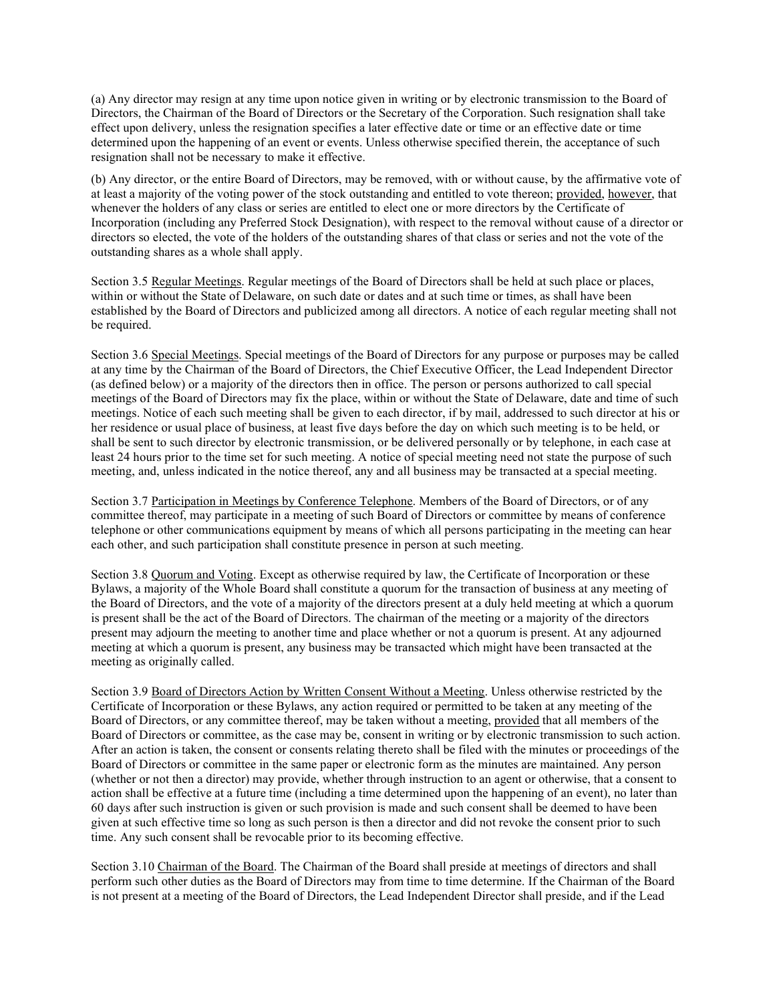(a) Any director may resign at any time upon notice given in writing or by electronic transmission to the Board of Directors, the Chairman of the Board of Directors or the Secretary of the Corporation. Such resignation shall take effect upon delivery, unless the resignation specifies a later effective date or time or an effective date or time determined upon the happening of an event or events. Unless otherwise specified therein, the acceptance of such resignation shall not be necessary to make it effective.

(b) Any director, or the entire Board of Directors, may be removed, with or without cause, by the affirmative vote of at least a majority of the voting power of the stock outstanding and entitled to vote thereon; provided, however, that whenever the holders of any class or series are entitled to elect one or more directors by the Certificate of Incorporation (including any Preferred Stock Designation), with respect to the removal without cause of a director or directors so elected, the vote of the holders of the outstanding shares of that class or series and not the vote of the outstanding shares as a whole shall apply.

Section 3.5 Regular Meetings. Regular meetings of the Board of Directors shall be held at such place or places, within or without the State of Delaware, on such date or dates and at such time or times, as shall have been established by the Board of Directors and publicized among all directors. A notice of each regular meeting shall not be required.

Section 3.6 Special Meetings. Special meetings of the Board of Directors for any purpose or purposes may be called at any time by the Chairman of the Board of Directors, the Chief Executive Officer, the Lead Independent Director (as defined below) or a majority of the directors then in office. The person or persons authorized to call special meetings of the Board of Directors may fix the place, within or without the State of Delaware, date and time of such meetings. Notice of each such meeting shall be given to each director, if by mail, addressed to such director at his or her residence or usual place of business, at least five days before the day on which such meeting is to be held, or shall be sent to such director by electronic transmission, or be delivered personally or by telephone, in each case at least 24 hours prior to the time set for such meeting. A notice of special meeting need not state the purpose of such meeting, and, unless indicated in the notice thereof, any and all business may be transacted at a special meeting.

Section 3.7 Participation in Meetings by Conference Telephone. Members of the Board of Directors, or of any committee thereof, may participate in a meeting of such Board of Directors or committee by means of conference telephone or other communications equipment by means of which all persons participating in the meeting can hear each other, and such participation shall constitute presence in person at such meeting.

Section 3.8 Quorum and Voting. Except as otherwise required by law, the Certificate of Incorporation or these Bylaws, a majority of the Whole Board shall constitute a quorum for the transaction of business at any meeting of the Board of Directors, and the vote of a majority of the directors present at a duly held meeting at which a quorum is present shall be the act of the Board of Directors. The chairman of the meeting or a majority of the directors present may adjourn the meeting to another time and place whether or not a quorum is present. At any adjourned meeting at which a quorum is present, any business may be transacted which might have been transacted at the meeting as originally called.

Section 3.9 Board of Directors Action by Written Consent Without a Meeting. Unless otherwise restricted by the Certificate of Incorporation or these Bylaws, any action required or permitted to be taken at any meeting of the Board of Directors, or any committee thereof, may be taken without a meeting, provided that all members of the Board of Directors or committee, as the case may be, consent in writing or by electronic transmission to such action. After an action is taken, the consent or consents relating thereto shall be filed with the minutes or proceedings of the Board of Directors or committee in the same paper or electronic form as the minutes are maintained. Any person (whether or not then a director) may provide, whether through instruction to an agent or otherwise, that a consent to action shall be effective at a future time (including a time determined upon the happening of an event), no later than 60 days after such instruction is given or such provision is made and such consent shall be deemed to have been given at such effective time so long as such person is then a director and did not revoke the consent prior to such time. Any such consent shall be revocable prior to its becoming effective.

Section 3.10 Chairman of the Board. The Chairman of the Board shall preside at meetings of directors and shall perform such other duties as the Board of Directors may from time to time determine. If the Chairman of the Board is not present at a meeting of the Board of Directors, the Lead Independent Director shall preside, and if the Lead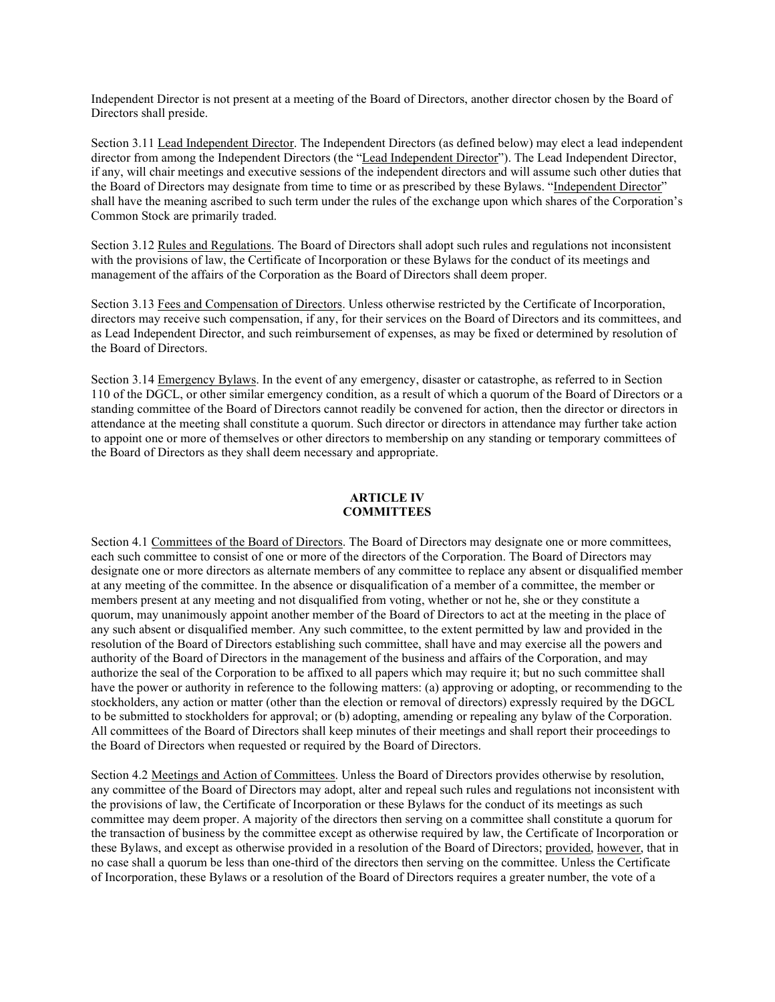Independent Director is not present at a meeting of the Board of Directors, another director chosen by the Board of Directors shall preside.

Section 3.11 Lead Independent Director. The Independent Directors (as defined below) may elect a lead independent director from among the Independent Directors (the "Lead Independent Director"). The Lead Independent Director, if any, will chair meetings and executive sessions of the independent directors and will assume such other duties that the Board of Directors may designate from time to time or as prescribed by these Bylaws. "Independent Director" shall have the meaning ascribed to such term under the rules of the exchange upon which shares of the Corporation's Common Stock are primarily traded.

Section 3.12 Rules and Regulations. The Board of Directors shall adopt such rules and regulations not inconsistent with the provisions of law, the Certificate of Incorporation or these Bylaws for the conduct of its meetings and management of the affairs of the Corporation as the Board of Directors shall deem proper.

Section 3.13 Fees and Compensation of Directors. Unless otherwise restricted by the Certificate of Incorporation, directors may receive such compensation, if any, for their services on the Board of Directors and its committees, and as Lead Independent Director, and such reimbursement of expenses, as may be fixed or determined by resolution of the Board of Directors.

Section 3.14 Emergency Bylaws. In the event of any emergency, disaster or catastrophe, as referred to in Section 110 of the DGCL, or other similar emergency condition, as a result of which a quorum of the Board of Directors or a standing committee of the Board of Directors cannot readily be convened for action, then the director or directors in attendance at the meeting shall constitute a quorum. Such director or directors in attendance may further take action to appoint one or more of themselves or other directors to membership on any standing or temporary committees of the Board of Directors as they shall deem necessary and appropriate.

# ARTICLE IV **COMMITTEES**

Section 4.1 Committees of the Board of Directors. The Board of Directors may designate one or more committees, each such committee to consist of one or more of the directors of the Corporation. The Board of Directors may designate one or more directors as alternate members of any committee to replace any absent or disqualified member at any meeting of the committee. In the absence or disqualification of a member of a committee, the member or members present at any meeting and not disqualified from voting, whether or not he, she or they constitute a quorum, may unanimously appoint another member of the Board of Directors to act at the meeting in the place of any such absent or disqualified member. Any such committee, to the extent permitted by law and provided in the resolution of the Board of Directors establishing such committee, shall have and may exercise all the powers and authority of the Board of Directors in the management of the business and affairs of the Corporation, and may authorize the seal of the Corporation to be affixed to all papers which may require it; but no such committee shall have the power or authority in reference to the following matters: (a) approving or adopting, or recommending to the stockholders, any action or matter (other than the election or removal of directors) expressly required by the DGCL to be submitted to stockholders for approval; or (b) adopting, amending or repealing any bylaw of the Corporation. All committees of the Board of Directors shall keep minutes of their meetings and shall report their proceedings to the Board of Directors when requested or required by the Board of Directors.

Section 4.2 Meetings and Action of Committees. Unless the Board of Directors provides otherwise by resolution, any committee of the Board of Directors may adopt, alter and repeal such rules and regulations not inconsistent with the provisions of law, the Certificate of Incorporation or these Bylaws for the conduct of its meetings as such committee may deem proper. A majority of the directors then serving on a committee shall constitute a quorum for the transaction of business by the committee except as otherwise required by law, the Certificate of Incorporation or these Bylaws, and except as otherwise provided in a resolution of the Board of Directors; provided, however, that in no case shall a quorum be less than one-third of the directors then serving on the committee. Unless the Certificate of Incorporation, these Bylaws or a resolution of the Board of Directors requires a greater number, the vote of a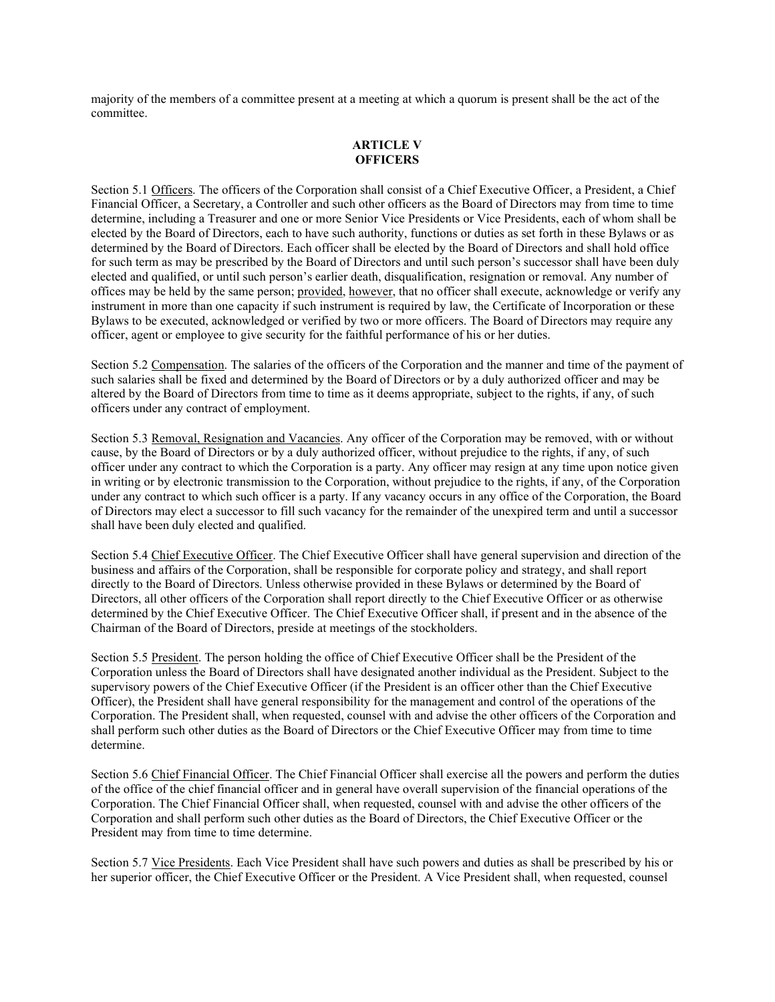majority of the members of a committee present at a meeting at which a quorum is present shall be the act of the committee.

# ARTICLE V **OFFICERS**

Section 5.1 Officers. The officers of the Corporation shall consist of a Chief Executive Officer, a President, a Chief Financial Officer, a Secretary, a Controller and such other officers as the Board of Directors may from time to time determine, including a Treasurer and one or more Senior Vice Presidents or Vice Presidents, each of whom shall be elected by the Board of Directors, each to have such authority, functions or duties as set forth in these Bylaws or as determined by the Board of Directors. Each officer shall be elected by the Board of Directors and shall hold office for such term as may be prescribed by the Board of Directors and until such person's successor shall have been duly elected and qualified, or until such person's earlier death, disqualification, resignation or removal. Any number of offices may be held by the same person; provided, however, that no officer shall execute, acknowledge or verify any instrument in more than one capacity if such instrument is required by law, the Certificate of Incorporation or these Bylaws to be executed, acknowledged or verified by two or more officers. The Board of Directors may require any officer, agent or employee to give security for the faithful performance of his or her duties.

Section 5.2 Compensation. The salaries of the officers of the Corporation and the manner and time of the payment of such salaries shall be fixed and determined by the Board of Directors or by a duly authorized officer and may be altered by the Board of Directors from time to time as it deems appropriate, subject to the rights, if any, of such officers under any contract of employment.

Section 5.3 Removal, Resignation and Vacancies. Any officer of the Corporation may be removed, with or without cause, by the Board of Directors or by a duly authorized officer, without prejudice to the rights, if any, of such officer under any contract to which the Corporation is a party. Any officer may resign at any time upon notice given in writing or by electronic transmission to the Corporation, without prejudice to the rights, if any, of the Corporation under any contract to which such officer is a party. If any vacancy occurs in any office of the Corporation, the Board of Directors may elect a successor to fill such vacancy for the remainder of the unexpired term and until a successor shall have been duly elected and qualified.

Section 5.4 Chief Executive Officer. The Chief Executive Officer shall have general supervision and direction of the business and affairs of the Corporation, shall be responsible for corporate policy and strategy, and shall report directly to the Board of Directors. Unless otherwise provided in these Bylaws or determined by the Board of Directors, all other officers of the Corporation shall report directly to the Chief Executive Officer or as otherwise determined by the Chief Executive Officer. The Chief Executive Officer shall, if present and in the absence of the Chairman of the Board of Directors, preside at meetings of the stockholders.

Section 5.5 President. The person holding the office of Chief Executive Officer shall be the President of the Corporation unless the Board of Directors shall have designated another individual as the President. Subject to the supervisory powers of the Chief Executive Officer (if the President is an officer other than the Chief Executive Officer), the President shall have general responsibility for the management and control of the operations of the Corporation. The President shall, when requested, counsel with and advise the other officers of the Corporation and shall perform such other duties as the Board of Directors or the Chief Executive Officer may from time to time determine.

Section 5.6 Chief Financial Officer. The Chief Financial Officer shall exercise all the powers and perform the duties of the office of the chief financial officer and in general have overall supervision of the financial operations of the Corporation. The Chief Financial Officer shall, when requested, counsel with and advise the other officers of the Corporation and shall perform such other duties as the Board of Directors, the Chief Executive Officer or the President may from time to time determine.

Section 5.7 Vice Presidents. Each Vice President shall have such powers and duties as shall be prescribed by his or her superior officer, the Chief Executive Officer or the President. A Vice President shall, when requested, counsel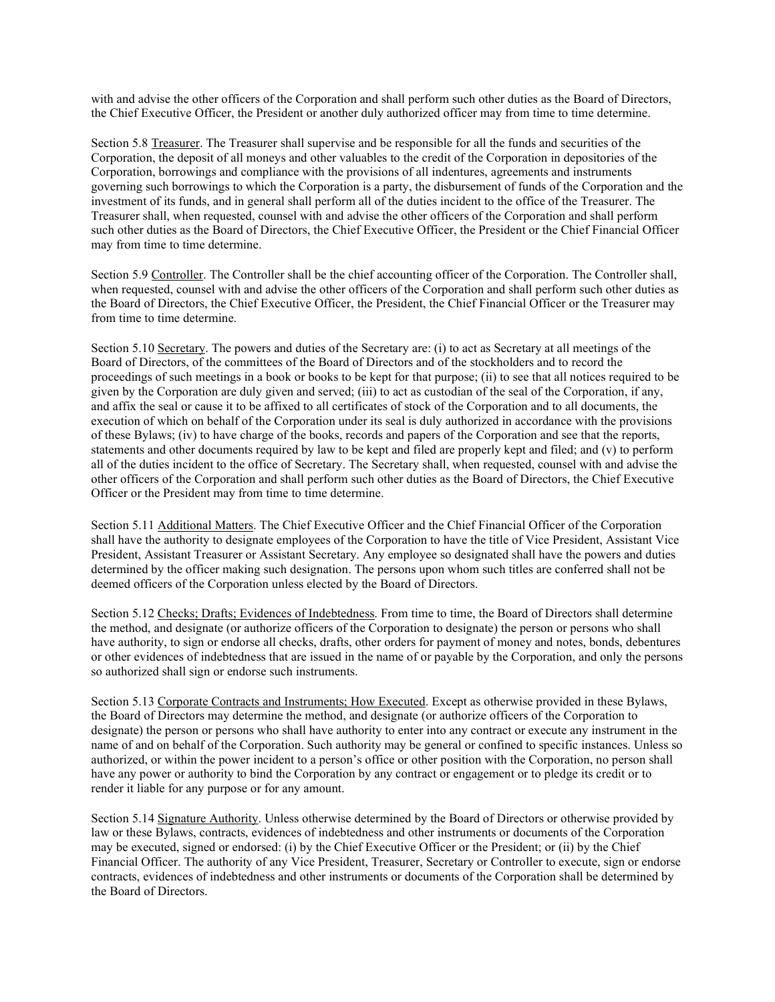with and advise the other officers of the Corporation and shall perform such other duties as the Board of Directors, the Chief Executive Officer, the President or another duly authorized officer may from time to time determine.

Section 5.8 Treasurer. The Treasurer shall supervise and be responsible for all the funds and securities of the Corporation, the deposit of all moneys and other valuables to the credit of the Corporation in depositories of the Corporation, borrowings and compliance with the provisions of all indentures, agreements and instruments governing such borrowings to which the Corporation is a party, the disbursement of funds of the Corporation and the investment of its funds, and in general shall perform all of the duties incident to the office of the Treasurer. The Treasurer shall, when requested, counsel with and advise the other officers of the Corporation and shall perform such other duties as the Board of Directors, the Chief Executive Officer, the President or the Chief Financial Officer may from time to time determine.

Section 5.9 Controller. The Controller shall be the chief accounting officer of the Corporation. The Controller shall, when requested, counsel with and advise the other officers of the Corporation and shall perform such other duties as the Board of Directors, the Chief Executive Officer, the President, the Chief Financial Officer or the Treasurer may from time to time determine.

Section 5.10 Secretary. The powers and duties of the Secretary are: (i) to act as Secretary at all meetings of the Board of Directors, of the committees of the Board of Directors and of the stockholders and to record the proceedings of such meetings in a book or books to be kept for that purpose; (ii) to see that all notices required to be given by the Corporation are duly given and served; (iii) to act as custodian of the seal of the Corporation, if any, and affix the seal or cause it to be affixed to all certificates of stock of the Corporation and to all documents, the execution of which on behalf of the Corporation under its seal is duly authorized in accordance with the provisions of these Bylaws; (iv) to have charge of the books, records and papers of the Corporation and see that the reports, statements and other documents required by law to be kept and filed are properly kept and filed; and (v) to perform all of the duties incident to the office of Secretary. The Secretary shall, when requested, counsel with and advise the other officers of the Corporation and shall perform such other duties as the Board of Directors, the Chief Executive Officer or the President may from time to time determine.

Section 5.11 Additional Matters. The Chief Executive Officer and the Chief Financial Officer of the Corporation shall have the authority to designate employees of the Corporation to have the title of Vice President, Assistant Vice President, Assistant Treasurer or Assistant Secretary. Any employee so designated shall have the powers and duties determined by the officer making such designation. The persons upon whom such titles are conferred shall not be deemed officers of the Corporation unless elected by the Board of Directors.

Section 5.12 Checks; Drafts; Evidences of Indebtedness. From time to time, the Board of Directors shall determine the method, and designate (or authorize officers of the Corporation to designate) the person or persons who shall have authority, to sign or endorse all checks, drafts, other orders for payment of money and notes, bonds, debentures or other evidences of indebtedness that are issued in the name of or payable by the Corporation, and only the persons so authorized shall sign or endorse such instruments.

Section 5.13 Corporate Contracts and Instruments; How Executed. Except as otherwise provided in these Bylaws, the Board of Directors may determine the method, and designate (or authorize officers of the Corporation to designate) the person or persons who shall have authority to enter into any contract or execute any instrument in the name of and on behalf of the Corporation. Such authority may be general or confined to specific instances. Unless so authorized, or within the power incident to a person's office or other position with the Corporation, no person shall have any power or authority to bind the Corporation by any contract or engagement or to pledge its credit or to render it liable for any purpose or for any amount.

Section 5.14 Signature Authority. Unless otherwise determined by the Board of Directors or otherwise provided by law or these Bylaws, contracts, evidences of indebtedness and other instruments or documents of the Corporation may be executed, signed or endorsed: (i) by the Chief Executive Officer or the President; or (ii) by the Chief Financial Officer. The authority of any Vice President, Treasurer, Secretary or Controller to execute, sign or endorse contracts, evidences of indebtedness and other instruments or documents of the Corporation shall be determined by the Board of Directors.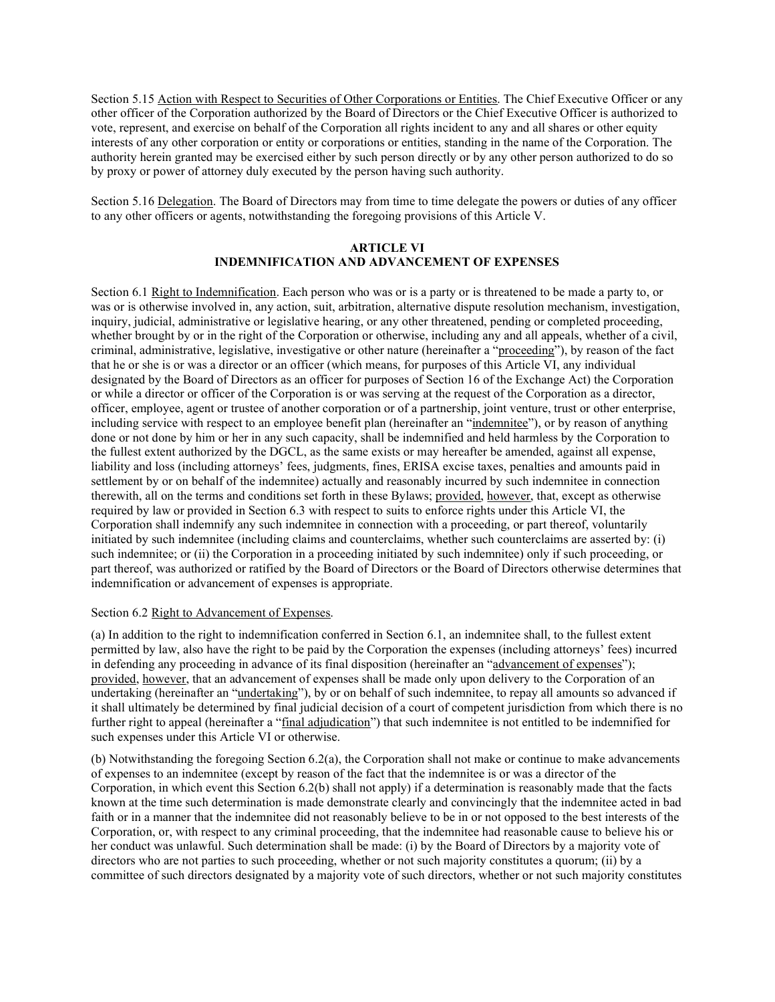Section 5.15 Action with Respect to Securities of Other Corporations or Entities. The Chief Executive Officer or any other officer of the Corporation authorized by the Board of Directors or the Chief Executive Officer is authorized to vote, represent, and exercise on behalf of the Corporation all rights incident to any and all shares or other equity interests of any other corporation or entity or corporations or entities, standing in the name of the Corporation. The authority herein granted may be exercised either by such person directly or by any other person authorized to do so by proxy or power of attorney duly executed by the person having such authority.

Section 5.16 Delegation. The Board of Directors may from time to time delegate the powers or duties of any officer to any other officers or agents, notwithstanding the foregoing provisions of this Article V.

### ARTICLE VI INDEMNIFICATION AND ADVANCEMENT OF EXPENSES

Section 6.1 Right to Indemnification. Each person who was or is a party or is threatened to be made a party to, or was or is otherwise involved in, any action, suit, arbitration, alternative dispute resolution mechanism, investigation, inquiry, judicial, administrative or legislative hearing, or any other threatened, pending or completed proceeding, whether brought by or in the right of the Corporation or otherwise, including any and all appeals, whether of a civil, criminal, administrative, legislative, investigative or other nature (hereinafter a "proceeding"), by reason of the fact that he or she is or was a director or an officer (which means, for purposes of this Article VI, any individual designated by the Board of Directors as an officer for purposes of Section 16 of the Exchange Act) the Corporation or while a director or officer of the Corporation is or was serving at the request of the Corporation as a director, officer, employee, agent or trustee of another corporation or of a partnership, joint venture, trust or other enterprise, including service with respect to an employee benefit plan (hereinafter an "indemnitee"), or by reason of anything done or not done by him or her in any such capacity, shall be indemnified and held harmless by the Corporation to the fullest extent authorized by the DGCL, as the same exists or may hereafter be amended, against all expense, liability and loss (including attorneys' fees, judgments, fines, ERISA excise taxes, penalties and amounts paid in settlement by or on behalf of the indemnitee) actually and reasonably incurred by such indemnitee in connection therewith, all on the terms and conditions set forth in these Bylaws; provided, however, that, except as otherwise required by law or provided in Section 6.3 with respect to suits to enforce rights under this Article VI, the Corporation shall indemnify any such indemnitee in connection with a proceeding, or part thereof, voluntarily initiated by such indemnitee (including claims and counterclaims, whether such counterclaims are asserted by: (i) such indemnitee; or (ii) the Corporation in a proceeding initiated by such indemnitee) only if such proceeding, or part thereof, was authorized or ratified by the Board of Directors or the Board of Directors otherwise determines that indemnification or advancement of expenses is appropriate.

### Section 6.2 Right to Advancement of Expenses.

(a) In addition to the right to indemnification conferred in Section 6.1, an indemnitee shall, to the fullest extent permitted by law, also have the right to be paid by the Corporation the expenses (including attorneys' fees) incurred in defending any proceeding in advance of its final disposition (hereinafter an "advancement of expenses"); provided, however, that an advancement of expenses shall be made only upon delivery to the Corporation of an undertaking (hereinafter an "undertaking"), by or on behalf of such indemnitee, to repay all amounts so advanced if it shall ultimately be determined by final judicial decision of a court of competent jurisdiction from which there is no further right to appeal (hereinafter a "final adjudication") that such indemnitee is not entitled to be indemnified for such expenses under this Article VI or otherwise.

(b) Notwithstanding the foregoing Section 6.2(a), the Corporation shall not make or continue to make advancements of expenses to an indemnitee (except by reason of the fact that the indemnitee is or was a director of the Corporation, in which event this Section 6.2(b) shall not apply) if a determination is reasonably made that the facts known at the time such determination is made demonstrate clearly and convincingly that the indemnitee acted in bad faith or in a manner that the indemnitee did not reasonably believe to be in or not opposed to the best interests of the Corporation, or, with respect to any criminal proceeding, that the indemnitee had reasonable cause to believe his or her conduct was unlawful. Such determination shall be made: (i) by the Board of Directors by a majority vote of directors who are not parties to such proceeding, whether or not such majority constitutes a quorum; (ii) by a committee of such directors designated by a majority vote of such directors, whether or not such majority constitutes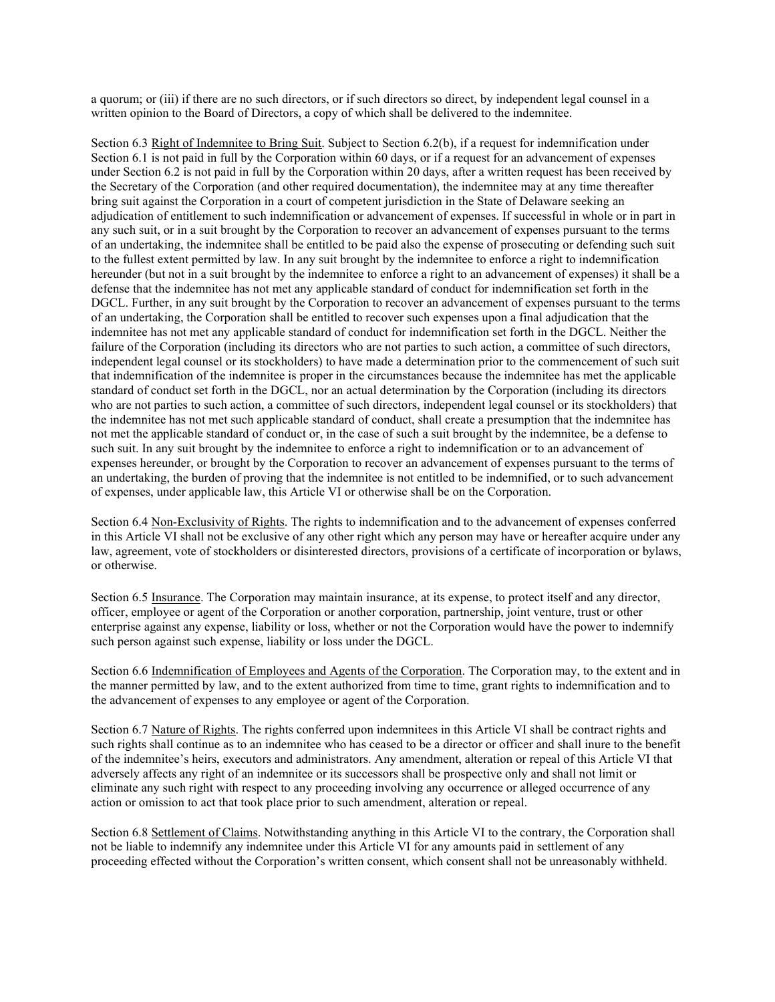a quorum; or (iii) if there are no such directors, or if such directors so direct, by independent legal counsel in a written opinion to the Board of Directors, a copy of which shall be delivered to the indemnitee.

Section 6.3 Right of Indemnitee to Bring Suit. Subject to Section 6.2(b), if a request for indemnification under Section 6.1 is not paid in full by the Corporation within 60 days, or if a request for an advancement of expenses under Section 6.2 is not paid in full by the Corporation within 20 days, after a written request has been received by the Secretary of the Corporation (and other required documentation), the indemnitee may at any time thereafter bring suit against the Corporation in a court of competent jurisdiction in the State of Delaware seeking an adjudication of entitlement to such indemnification or advancement of expenses. If successful in whole or in part in any such suit, or in a suit brought by the Corporation to recover an advancement of expenses pursuant to the terms of an undertaking, the indemnitee shall be entitled to be paid also the expense of prosecuting or defending such suit to the fullest extent permitted by law. In any suit brought by the indemnitee to enforce a right to indemnification hereunder (but not in a suit brought by the indemnitee to enforce a right to an advancement of expenses) it shall be a defense that the indemnitee has not met any applicable standard of conduct for indemnification set forth in the DGCL. Further, in any suit brought by the Corporation to recover an advancement of expenses pursuant to the terms of an undertaking, the Corporation shall be entitled to recover such expenses upon a final adjudication that the indemnitee has not met any applicable standard of conduct for indemnification set forth in the DGCL. Neither the failure of the Corporation (including its directors who are not parties to such action, a committee of such directors, independent legal counsel or its stockholders) to have made a determination prior to the commencement of such suit that indemnification of the indemnitee is proper in the circumstances because the indemnitee has met the applicable standard of conduct set forth in the DGCL, nor an actual determination by the Corporation (including its directors who are not parties to such action, a committee of such directors, independent legal counsel or its stockholders) that the indemnitee has not met such applicable standard of conduct, shall create a presumption that the indemnitee has not met the applicable standard of conduct or, in the case of such a suit brought by the indemnitee, be a defense to such suit. In any suit brought by the indemnitee to enforce a right to indemnification or to an advancement of expenses hereunder, or brought by the Corporation to recover an advancement of expenses pursuant to the terms of an undertaking, the burden of proving that the indemnitee is not entitled to be indemnified, or to such advancement of expenses, under applicable law, this Article VI or otherwise shall be on the Corporation.

Section 6.4 Non-Exclusivity of Rights. The rights to indemnification and to the advancement of expenses conferred in this Article VI shall not be exclusive of any other right which any person may have or hereafter acquire under any law, agreement, vote of stockholders or disinterested directors, provisions of a certificate of incorporation or bylaws, or otherwise.

Section 6.5 Insurance. The Corporation may maintain insurance, at its expense, to protect itself and any director, officer, employee or agent of the Corporation or another corporation, partnership, joint venture, trust or other enterprise against any expense, liability or loss, whether or not the Corporation would have the power to indemnify such person against such expense, liability or loss under the DGCL.

Section 6.6 Indemnification of Employees and Agents of the Corporation. The Corporation may, to the extent and in the manner permitted by law, and to the extent authorized from time to time, grant rights to indemnification and to the advancement of expenses to any employee or agent of the Corporation.

Section 6.7 Nature of Rights. The rights conferred upon indemnitees in this Article VI shall be contract rights and such rights shall continue as to an indemnitee who has ceased to be a director or officer and shall inure to the benefit of the indemnitee's heirs, executors and administrators. Any amendment, alteration or repeal of this Article VI that adversely affects any right of an indemnitee or its successors shall be prospective only and shall not limit or eliminate any such right with respect to any proceeding involving any occurrence or alleged occurrence of any action or omission to act that took place prior to such amendment, alteration or repeal.

Section 6.8 Settlement of Claims. Notwithstanding anything in this Article VI to the contrary, the Corporation shall not be liable to indemnify any indemnitee under this Article VI for any amounts paid in settlement of any proceeding effected without the Corporation's written consent, which consent shall not be unreasonably withheld.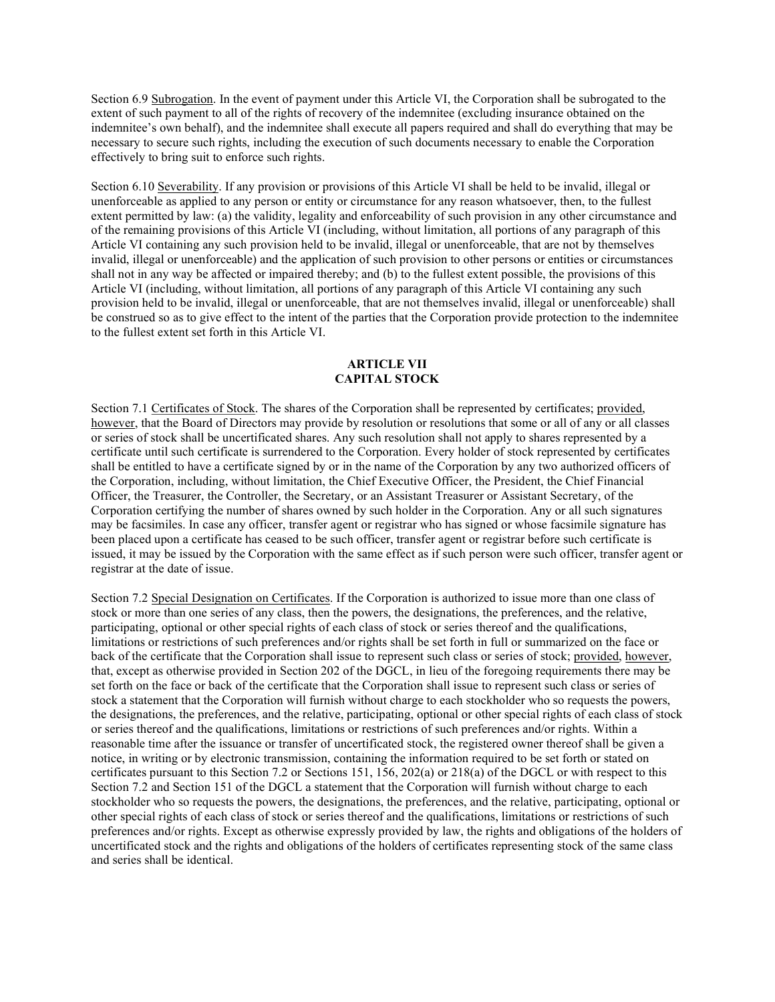Section 6.9 Subrogation. In the event of payment under this Article VI, the Corporation shall be subrogated to the extent of such payment to all of the rights of recovery of the indemnitee (excluding insurance obtained on the indemnitee's own behalf), and the indemnitee shall execute all papers required and shall do everything that may be necessary to secure such rights, including the execution of such documents necessary to enable the Corporation effectively to bring suit to enforce such rights.

Section 6.10 Severability. If any provision or provisions of this Article VI shall be held to be invalid, illegal or unenforceable as applied to any person or entity or circumstance for any reason whatsoever, then, to the fullest extent permitted by law: (a) the validity, legality and enforceability of such provision in any other circumstance and of the remaining provisions of this Article VI (including, without limitation, all portions of any paragraph of this Article VI containing any such provision held to be invalid, illegal or unenforceable, that are not by themselves invalid, illegal or unenforceable) and the application of such provision to other persons or entities or circumstances shall not in any way be affected or impaired thereby; and (b) to the fullest extent possible, the provisions of this Article VI (including, without limitation, all portions of any paragraph of this Article VI containing any such provision held to be invalid, illegal or unenforceable, that are not themselves invalid, illegal or unenforceable) shall be construed so as to give effect to the intent of the parties that the Corporation provide protection to the indemnitee to the fullest extent set forth in this Article VI.

## ARTICLE VII CAPITAL STOCK

Section 7.1 Certificates of Stock. The shares of the Corporation shall be represented by certificates; provided, however, that the Board of Directors may provide by resolution or resolutions that some or all of any or all classes or series of stock shall be uncertificated shares. Any such resolution shall not apply to shares represented by a certificate until such certificate is surrendered to the Corporation. Every holder of stock represented by certificates shall be entitled to have a certificate signed by or in the name of the Corporation by any two authorized officers of the Corporation, including, without limitation, the Chief Executive Officer, the President, the Chief Financial Officer, the Treasurer, the Controller, the Secretary, or an Assistant Treasurer or Assistant Secretary, of the Corporation certifying the number of shares owned by such holder in the Corporation. Any or all such signatures may be facsimiles. In case any officer, transfer agent or registrar who has signed or whose facsimile signature has been placed upon a certificate has ceased to be such officer, transfer agent or registrar before such certificate is issued, it may be issued by the Corporation with the same effect as if such person were such officer, transfer agent or registrar at the date of issue.

Section 7.2 Special Designation on Certificates. If the Corporation is authorized to issue more than one class of stock or more than one series of any class, then the powers, the designations, the preferences, and the relative, participating, optional or other special rights of each class of stock or series thereof and the qualifications, limitations or restrictions of such preferences and/or rights shall be set forth in full or summarized on the face or back of the certificate that the Corporation shall issue to represent such class or series of stock; provided, however, that, except as otherwise provided in Section 202 of the DGCL, in lieu of the foregoing requirements there may be set forth on the face or back of the certificate that the Corporation shall issue to represent such class or series of stock a statement that the Corporation will furnish without charge to each stockholder who so requests the powers, the designations, the preferences, and the relative, participating, optional or other special rights of each class of stock or series thereof and the qualifications, limitations or restrictions of such preferences and/or rights. Within a reasonable time after the issuance or transfer of uncertificated stock, the registered owner thereof shall be given a notice, in writing or by electronic transmission, containing the information required to be set forth or stated on certificates pursuant to this Section 7.2 or Sections 151, 156, 202(a) or 218(a) of the DGCL or with respect to this Section 7.2 and Section 151 of the DGCL a statement that the Corporation will furnish without charge to each stockholder who so requests the powers, the designations, the preferences, and the relative, participating, optional or other special rights of each class of stock or series thereof and the qualifications, limitations or restrictions of such preferences and/or rights. Except as otherwise expressly provided by law, the rights and obligations of the holders of uncertificated stock and the rights and obligations of the holders of certificates representing stock of the same class and series shall be identical.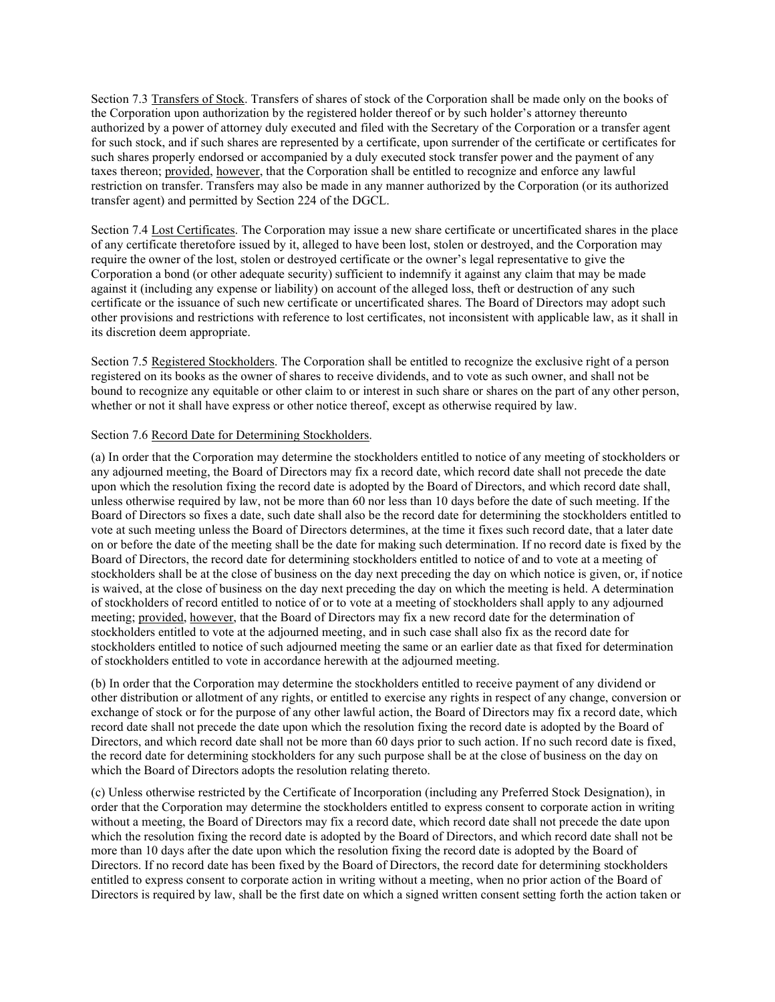Section 7.3 Transfers of Stock. Transfers of shares of stock of the Corporation shall be made only on the books of the Corporation upon authorization by the registered holder thereof or by such holder's attorney thereunto authorized by a power of attorney duly executed and filed with the Secretary of the Corporation or a transfer agent for such stock, and if such shares are represented by a certificate, upon surrender of the certificate or certificates for such shares properly endorsed or accompanied by a duly executed stock transfer power and the payment of any taxes thereon; provided, however, that the Corporation shall be entitled to recognize and enforce any lawful restriction on transfer. Transfers may also be made in any manner authorized by the Corporation (or its authorized transfer agent) and permitted by Section 224 of the DGCL.

Section 7.4 Lost Certificates. The Corporation may issue a new share certificate or uncertificated shares in the place of any certificate theretofore issued by it, alleged to have been lost, stolen or destroyed, and the Corporation may require the owner of the lost, stolen or destroyed certificate or the owner's legal representative to give the Corporation a bond (or other adequate security) sufficient to indemnify it against any claim that may be made against it (including any expense or liability) on account of the alleged loss, theft or destruction of any such certificate or the issuance of such new certificate or uncertificated shares. The Board of Directors may adopt such other provisions and restrictions with reference to lost certificates, not inconsistent with applicable law, as it shall in its discretion deem appropriate.

Section 7.5 Registered Stockholders. The Corporation shall be entitled to recognize the exclusive right of a person registered on its books as the owner of shares to receive dividends, and to vote as such owner, and shall not be bound to recognize any equitable or other claim to or interest in such share or shares on the part of any other person, whether or not it shall have express or other notice thereof, except as otherwise required by law.

### Section 7.6 Record Date for Determining Stockholders.

(a) In order that the Corporation may determine the stockholders entitled to notice of any meeting of stockholders or any adjourned meeting, the Board of Directors may fix a record date, which record date shall not precede the date upon which the resolution fixing the record date is adopted by the Board of Directors, and which record date shall, unless otherwise required by law, not be more than 60 nor less than 10 days before the date of such meeting. If the Board of Directors so fixes a date, such date shall also be the record date for determining the stockholders entitled to vote at such meeting unless the Board of Directors determines, at the time it fixes such record date, that a later date on or before the date of the meeting shall be the date for making such determination. If no record date is fixed by the Board of Directors, the record date for determining stockholders entitled to notice of and to vote at a meeting of stockholders shall be at the close of business on the day next preceding the day on which notice is given, or, if notice is waived, at the close of business on the day next preceding the day on which the meeting is held. A determination of stockholders of record entitled to notice of or to vote at a meeting of stockholders shall apply to any adjourned meeting; provided, however, that the Board of Directors may fix a new record date for the determination of stockholders entitled to vote at the adjourned meeting, and in such case shall also fix as the record date for stockholders entitled to notice of such adjourned meeting the same or an earlier date as that fixed for determination of stockholders entitled to vote in accordance herewith at the adjourned meeting.

(b) In order that the Corporation may determine the stockholders entitled to receive payment of any dividend or other distribution or allotment of any rights, or entitled to exercise any rights in respect of any change, conversion or exchange of stock or for the purpose of any other lawful action, the Board of Directors may fix a record date, which record date shall not precede the date upon which the resolution fixing the record date is adopted by the Board of Directors, and which record date shall not be more than 60 days prior to such action. If no such record date is fixed, the record date for determining stockholders for any such purpose shall be at the close of business on the day on which the Board of Directors adopts the resolution relating thereto.

(c) Unless otherwise restricted by the Certificate of Incorporation (including any Preferred Stock Designation), in order that the Corporation may determine the stockholders entitled to express consent to corporate action in writing without a meeting, the Board of Directors may fix a record date, which record date shall not precede the date upon which the resolution fixing the record date is adopted by the Board of Directors, and which record date shall not be more than 10 days after the date upon which the resolution fixing the record date is adopted by the Board of Directors. If no record date has been fixed by the Board of Directors, the record date for determining stockholders entitled to express consent to corporate action in writing without a meeting, when no prior action of the Board of Directors is required by law, shall be the first date on which a signed written consent setting forth the action taken or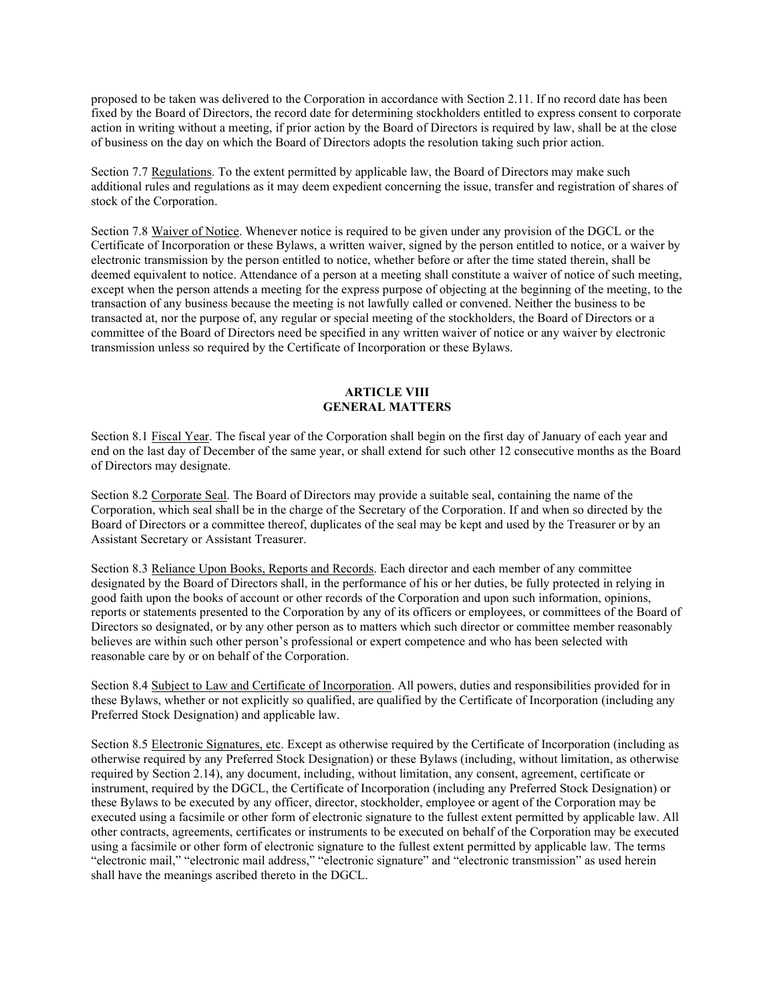proposed to be taken was delivered to the Corporation in accordance with Section 2.11. If no record date has been fixed by the Board of Directors, the record date for determining stockholders entitled to express consent to corporate action in writing without a meeting, if prior action by the Board of Directors is required by law, shall be at the close of business on the day on which the Board of Directors adopts the resolution taking such prior action.

Section 7.7 Regulations. To the extent permitted by applicable law, the Board of Directors may make such additional rules and regulations as it may deem expedient concerning the issue, transfer and registration of shares of stock of the Corporation.

Section 7.8 Waiver of Notice. Whenever notice is required to be given under any provision of the DGCL or the Certificate of Incorporation or these Bylaws, a written waiver, signed by the person entitled to notice, or a waiver by electronic transmission by the person entitled to notice, whether before or after the time stated therein, shall be deemed equivalent to notice. Attendance of a person at a meeting shall constitute a waiver of notice of such meeting, except when the person attends a meeting for the express purpose of objecting at the beginning of the meeting, to the transaction of any business because the meeting is not lawfully called or convened. Neither the business to be transacted at, nor the purpose of, any regular or special meeting of the stockholders, the Board of Directors or a committee of the Board of Directors need be specified in any written waiver of notice or any waiver by electronic transmission unless so required by the Certificate of Incorporation or these Bylaws.

### ARTICLE VIII GENERAL MATTERS

Section 8.1 Fiscal Year. The fiscal year of the Corporation shall begin on the first day of January of each year and end on the last day of December of the same year, or shall extend for such other 12 consecutive months as the Board of Directors may designate.

Section 8.2 Corporate Seal. The Board of Directors may provide a suitable seal, containing the name of the Corporation, which seal shall be in the charge of the Secretary of the Corporation. If and when so directed by the Board of Directors or a committee thereof, duplicates of the seal may be kept and used by the Treasurer or by an Assistant Secretary or Assistant Treasurer.

Section 8.3 Reliance Upon Books, Reports and Records. Each director and each member of any committee designated by the Board of Directors shall, in the performance of his or her duties, be fully protected in relying in good faith upon the books of account or other records of the Corporation and upon such information, opinions, reports or statements presented to the Corporation by any of its officers or employees, or committees of the Board of Directors so designated, or by any other person as to matters which such director or committee member reasonably believes are within such other person's professional or expert competence and who has been selected with reasonable care by or on behalf of the Corporation.

Section 8.4 Subject to Law and Certificate of Incorporation. All powers, duties and responsibilities provided for in these Bylaws, whether or not explicitly so qualified, are qualified by the Certificate of Incorporation (including any Preferred Stock Designation) and applicable law.

Section 8.5 Electronic Signatures, etc. Except as otherwise required by the Certificate of Incorporation (including as otherwise required by any Preferred Stock Designation) or these Bylaws (including, without limitation, as otherwise required by Section 2.14), any document, including, without limitation, any consent, agreement, certificate or instrument, required by the DGCL, the Certificate of Incorporation (including any Preferred Stock Designation) or these Bylaws to be executed by any officer, director, stockholder, employee or agent of the Corporation may be executed using a facsimile or other form of electronic signature to the fullest extent permitted by applicable law. All other contracts, agreements, certificates or instruments to be executed on behalf of the Corporation may be executed using a facsimile or other form of electronic signature to the fullest extent permitted by applicable law. The terms "electronic mail," "electronic mail address," "electronic signature" and "electronic transmission" as used herein shall have the meanings ascribed thereto in the DGCL.